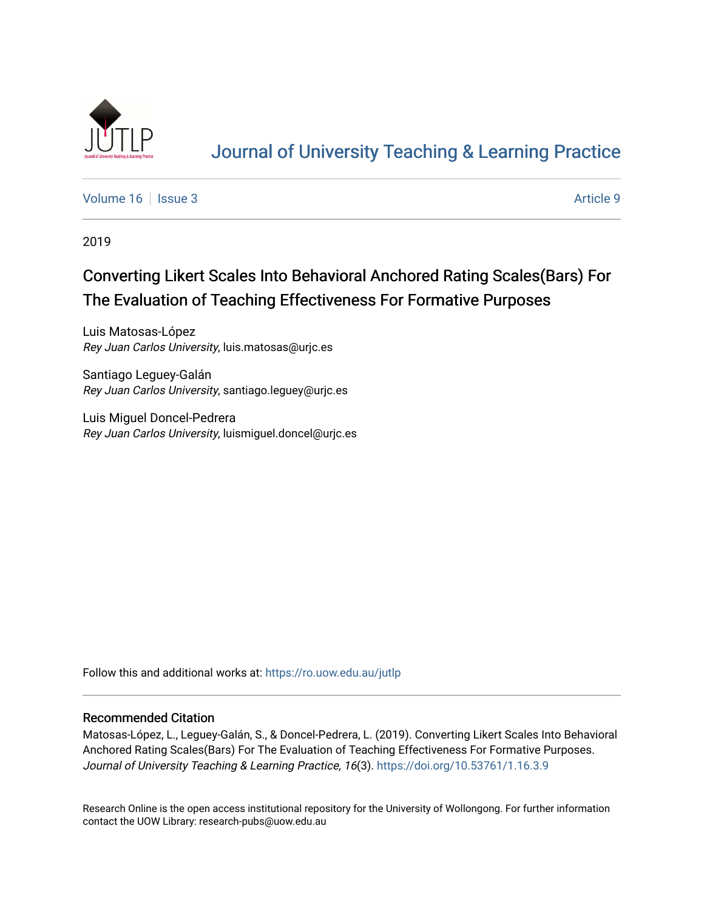

# [Journal of University Teaching & Learning Practice](https://ro.uow.edu.au/jutlp)

[Volume 16](https://ro.uow.edu.au/jutlp/vol16) | [Issue 3](https://ro.uow.edu.au/jutlp/vol16/iss3) Article 9

2019

# Converting Likert Scales Into Behavioral Anchored Rating Scales(Bars) For The Evaluation of Teaching Effectiveness For Formative Purposes

Luis Matosas-López Rey Juan Carlos University, luis.matosas@urjc.es

Santiago Leguey-Galán Rey Juan Carlos University, santiago.leguey@urjc.es

Luis Miguel Doncel-Pedrera Rey Juan Carlos University, luismiguel.doncel@urjc.es

Follow this and additional works at: [https://ro.uow.edu.au/jutlp](https://ro.uow.edu.au/jutlp?utm_source=ro.uow.edu.au%2Fjutlp%2Fvol16%2Fiss3%2F9&utm_medium=PDF&utm_campaign=PDFCoverPages) 

### Recommended Citation

Matosas-López, L., Leguey-Galán, S., & Doncel-Pedrera, L. (2019). Converting Likert Scales Into Behavioral Anchored Rating Scales(Bars) For The Evaluation of Teaching Effectiveness For Formative Purposes. Journal of University Teaching & Learning Practice, 16(3). <https://doi.org/10.53761/1.16.3.9>

Research Online is the open access institutional repository for the University of Wollongong. For further information contact the UOW Library: research-pubs@uow.edu.au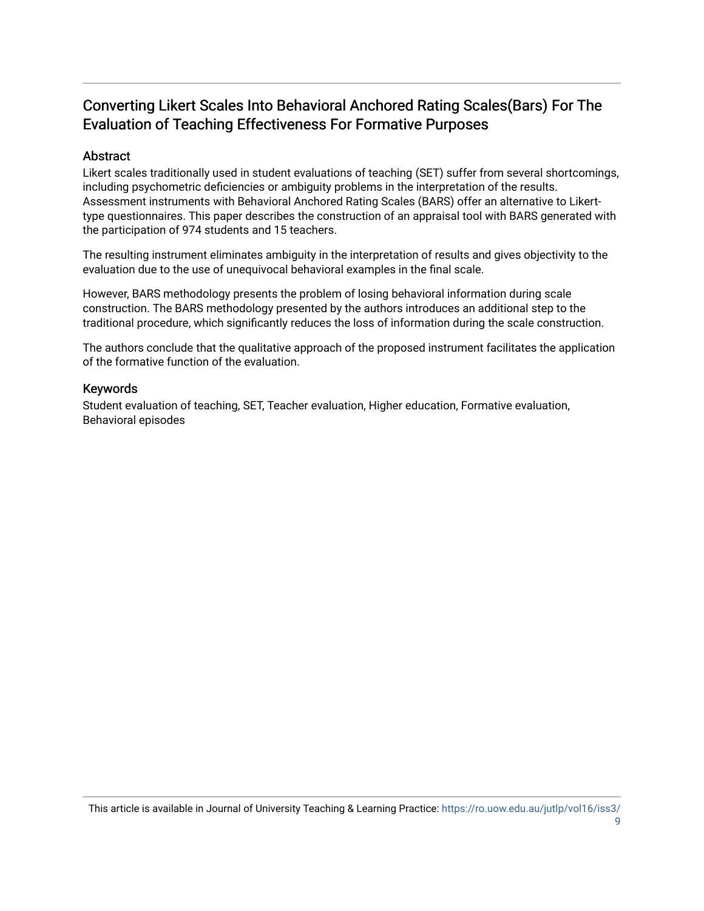## Converting Likert Scales Into Behavioral Anchored Rating Scales(Bars) For The Evaluation of Teaching Effectiveness For Formative Purposes

## Abstract

Likert scales traditionally used in student evaluations of teaching (SET) suffer from several shortcomings, including psychometric deficiencies or ambiguity problems in the interpretation of the results. Assessment instruments with Behavioral Anchored Rating Scales (BARS) offer an alternative to Likerttype questionnaires. This paper describes the construction of an appraisal tool with BARS generated with the participation of 974 students and 15 teachers.

The resulting instrument eliminates ambiguity in the interpretation of results and gives objectivity to the evaluation due to the use of unequivocal behavioral examples in the final scale.

However, BARS methodology presents the problem of losing behavioral information during scale construction. The BARS methodology presented by the authors introduces an additional step to the traditional procedure, which significantly reduces the loss of information during the scale construction.

The authors conclude that the qualitative approach of the proposed instrument facilitates the application of the formative function of the evaluation.

## Keywords

Student evaluation of teaching, SET, Teacher evaluation, Higher education, Formative evaluation, Behavioral episodes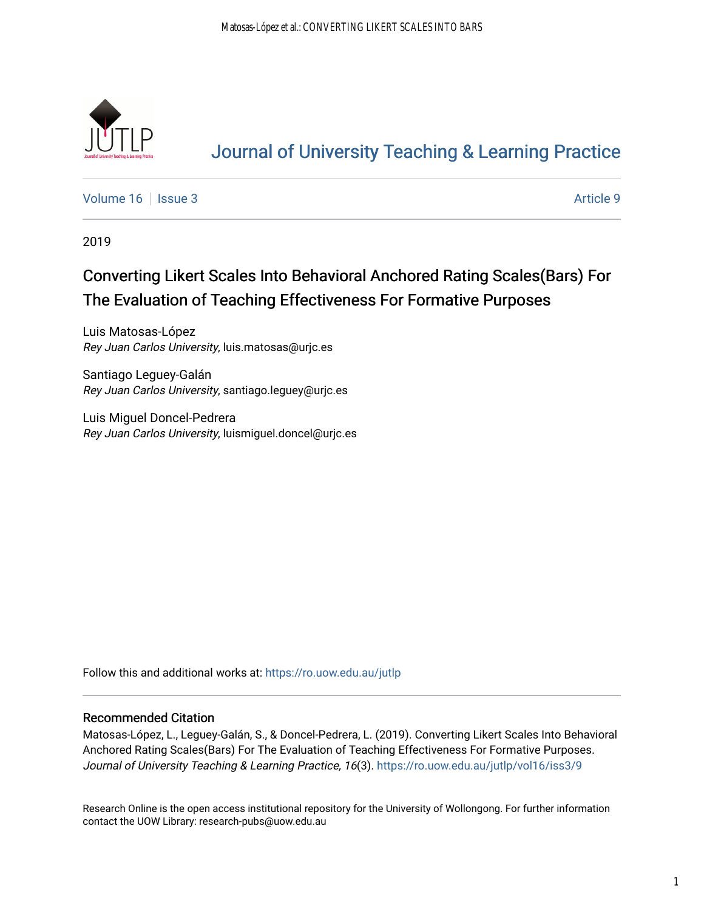

# [Journal of University Teaching & Learning Practice](https://ro.uow.edu.au/jutlp)

[Volume 16](https://ro.uow.edu.au/jutlp/vol16) | [Issue 3](https://ro.uow.edu.au/jutlp/vol16/iss3) Article 9

2019

# Converting Likert Scales Into Behavioral Anchored Rating Scales(Bars) For The Evaluation of Teaching Effectiveness For Formative Purposes

Luis Matosas-López Rey Juan Carlos University, luis.matosas@urjc.es

Santiago Leguey-Galán Rey Juan Carlos University, santiago.leguey@urjc.es

Luis Miguel Doncel-Pedrera Rey Juan Carlos University, luismiguel.doncel@urjc.es

Follow this and additional works at: [https://ro.uow.edu.au/jutlp](https://ro.uow.edu.au/jutlp?utm_source=ro.uow.edu.au%2Fjutlp%2Fvol16%2Fiss3%2F9&utm_medium=PDF&utm_campaign=PDFCoverPages) 

## Recommended Citation

Matosas-López, L., Leguey-Galán, S., & Doncel-Pedrera, L. (2019). Converting Likert Scales Into Behavioral Anchored Rating Scales(Bars) For The Evaluation of Teaching Effectiveness For Formative Purposes. Journal of University Teaching & Learning Practice, 16(3). https://ro.uow.edu.au/jutlp/vol16/iss3/9

Research Online is the open access institutional repository for the University of Wollongong. For further information contact the UOW Library: research-pubs@uow.edu.au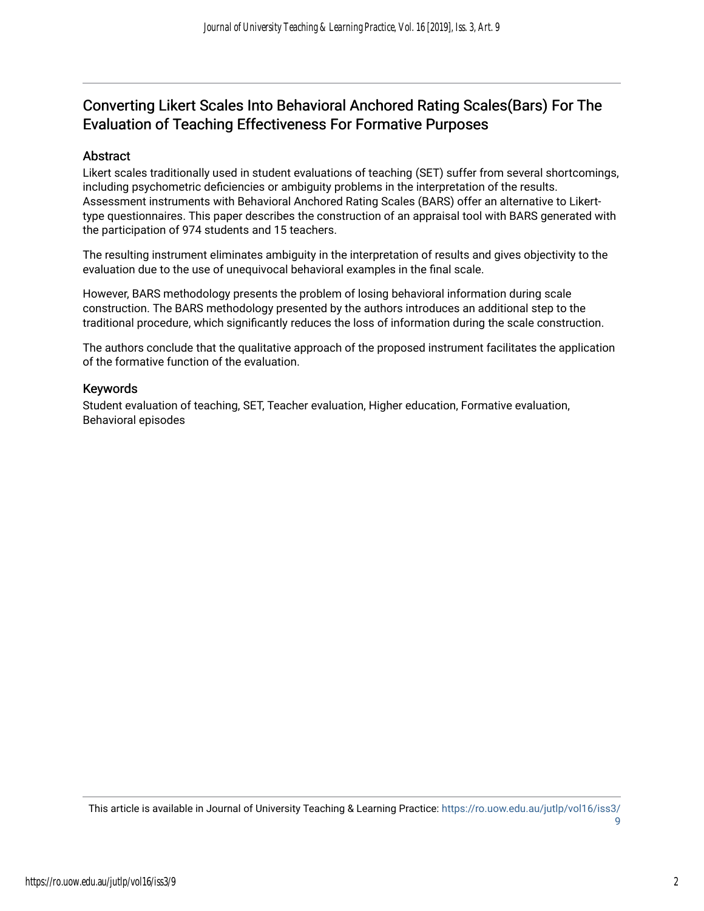## Converting Likert Scales Into Behavioral Anchored Rating Scales(Bars) For The Evaluation of Teaching Effectiveness For Formative Purposes

## **Abstract**

Likert scales traditionally used in student evaluations of teaching (SET) suffer from several shortcomings, including psychometric deficiencies or ambiguity problems in the interpretation of the results. Assessment instruments with Behavioral Anchored Rating Scales (BARS) offer an alternative to Likerttype questionnaires. This paper describes the construction of an appraisal tool with BARS generated with the participation of 974 students and 15 teachers.

The resulting instrument eliminates ambiguity in the interpretation of results and gives objectivity to the evaluation due to the use of unequivocal behavioral examples in the final scale.

However, BARS methodology presents the problem of losing behavioral information during scale construction. The BARS methodology presented by the authors introduces an additional step to the traditional procedure, which significantly reduces the loss of information during the scale construction.

The authors conclude that the qualitative approach of the proposed instrument facilitates the application of the formative function of the evaluation.

### Keywords

Student evaluation of teaching, SET, Teacher evaluation, Higher education, Formative evaluation, Behavioral episodes

This article is available in Journal of University Teaching & Learning Practice: [https://ro.uow.edu.au/jutlp/vol16/iss3/](https://ro.uow.edu.au/jutlp/vol16/iss3/9) [9](https://ro.uow.edu.au/jutlp/vol16/iss3/9)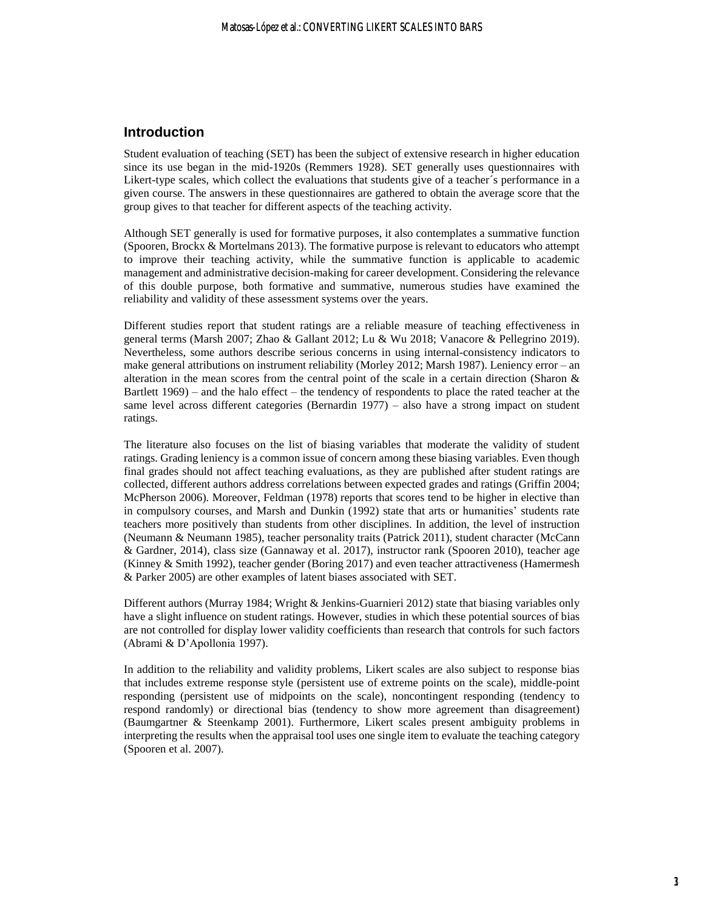### **Introduction**

Student evaluation of teaching (SET) has been the subject of extensive research in higher education since its use began in the mid-1920s (Remmers 1928). SET generally uses questionnaires with Likert-type scales, which collect the evaluations that students give of a teacher´s performance in a given course. The answers in these questionnaires are gathered to obtain the average score that the group gives to that teacher for different aspects of the teaching activity.

Although SET generally is used for formative purposes, it also contemplates a summative function (Spooren, Brockx & Mortelmans 2013). The formative purpose is relevant to educators who attempt to improve their teaching activity, while the summative function is applicable to academic management and administrative decision-making for career development. Considering the relevance of this double purpose, both formative and summative, numerous studies have examined the reliability and validity of these assessment systems over the years.

Different studies report that student ratings are a reliable measure of teaching effectiveness in general terms (Marsh 2007; Zhao & Gallant 2012; Lu & Wu 2018; Vanacore & Pellegrino 2019). Nevertheless, some authors describe serious concerns in using internal-consistency indicators to make general attributions on instrument reliability (Morley 2012; Marsh 1987). Leniency error – an alteration in the mean scores from the central point of the scale in a certain direction (Sharon & Bartlett 1969) – and the halo effect – the tendency of respondents to place the rated teacher at the same level across different categories (Bernardin 1977) – also have a strong impact on student ratings.

The literature also focuses on the list of biasing variables that moderate the validity of student ratings. Grading leniency is a common issue of concern among these biasing variables. Even though final grades should not affect teaching evaluations, as they are published after student ratings are collected, different authors address correlations between expected grades and ratings (Griffin 2004; McPherson 2006). Moreover, Feldman (1978) reports that scores tend to be higher in elective than in compulsory courses, and Marsh and Dunkin (1992) state that arts or humanities' students rate teachers more positively than students from other disciplines. In addition, the level of instruction (Neumann & Neumann 1985), teacher personality traits (Patrick 2011), student character (McCann & Gardner, 2014), class size (Gannaway et al. 2017), instructor rank (Spooren 2010), teacher age (Kinney & Smith 1992), teacher gender (Boring 2017) and even teacher attractiveness (Hamermesh & Parker 2005) are other examples of latent biases associated with SET.

Different authors (Murray 1984; Wright & Jenkins-Guarnieri 2012) state that biasing variables only have a slight influence on student ratings. However, studies in which these potential sources of bias are not controlled for display lower validity coefficients than research that controls for such factors (Abrami & D'Apollonia 1997).

In addition to the reliability and validity problems, Likert scales are also subject to response bias that includes extreme response style (persistent use of extreme points on the scale), middle-point responding (persistent use of midpoints on the scale), noncontingent responding (tendency to respond randomly) or directional bias (tendency to show more agreement than disagreement) (Baumgartner & Steenkamp 2001). Furthermore, Likert scales present ambiguity problems in interpreting the results when the appraisal tool uses one single item to evaluate the teaching category (Spooren et al. 2007).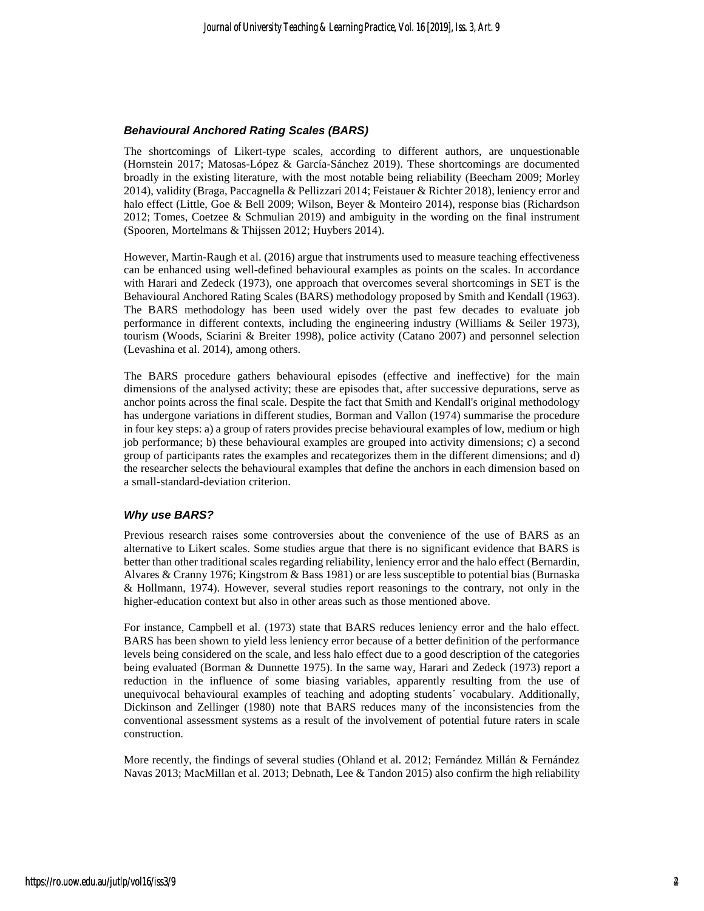#### *Behavioural Anchored Rating Scales (BARS)*

The shortcomings of Likert-type scales, according to different authors, are unquestionable (Hornstein 2017; Matosas-López & García-Sánchez 2019). These shortcomings are documented broadly in the existing literature, with the most notable being reliability (Beecham 2009; Morley 2014), validity (Braga, Paccagnella & Pellizzari 2014; Feistauer & Richter 2018), leniency error and halo effect (Little, Goe & Bell 2009; Wilson, Beyer & Monteiro 2014), response bias (Richardson 2012; Tomes, Coetzee & Schmulian 2019) and ambiguity in the wording on the final instrument (Spooren, Mortelmans & Thijssen 2012; Huybers 2014).

However, Martin-Raugh et al. (2016) argue that instruments used to measure teaching effectiveness can be enhanced using well-defined behavioural examples as points on the scales. In accordance with Harari and Zedeck (1973), one approach that overcomes several shortcomings in SET is the Behavioural Anchored Rating Scales (BARS) methodology proposed by Smith and Kendall (1963). The BARS methodology has been used widely over the past few decades to evaluate job performance in different contexts, including the engineering industry (Williams & Seiler 1973), tourism (Woods, Sciarini & Breiter 1998), police activity (Catano 2007) and personnel selection (Levashina et al. 2014), among others.

The BARS procedure gathers behavioural episodes (effective and ineffective) for the main dimensions of the analysed activity; these are episodes that, after successive depurations, serve as anchor points across the final scale. Despite the fact that Smith and Kendall's original methodology has undergone variations in different studies, Borman and Vallon (1974) summarise the procedure in four key steps: a) a group of raters provides precise behavioural examples of low, medium or high job performance; b) these behavioural examples are grouped into activity dimensions; c) a second group of participants rates the examples and recategorizes them in the different dimensions; and d) the researcher selects the behavioural examples that define the anchors in each dimension based on a small-standard-deviation criterion.

#### *Why use BARS?*

Previous research raises some controversies about the convenience of the use of BARS as an alternative to Likert scales. Some studies argue that there is no significant evidence that BARS is better than other traditional scales regarding reliability, leniency error and the halo effect (Bernardin, Alvares & Cranny 1976; Kingstrom & Bass 1981) or are less susceptible to potential bias (Burnaska & Hollmann, 1974). However, several studies report reasonings to the contrary, not only in the higher-education context but also in other areas such as those mentioned above.

For instance, Campbell et al. (1973) state that BARS reduces leniency error and the halo effect. BARS has been shown to yield less leniency error because of a better definition of the performance levels being considered on the scale, and less halo effect due to a good description of the categories being evaluated (Borman & Dunnette 1975). In the same way, Harari and Zedeck (1973) report a reduction in the influence of some biasing variables, apparently resulting from the use of unequivocal behavioural examples of teaching and adopting students´ vocabulary. Additionally, Dickinson and Zellinger (1980) note that BARS reduces many of the inconsistencies from the conventional assessment systems as a result of the involvement of potential future raters in scale construction.

More recently, the findings of several studies (Ohland et al. 2012; Fernández Millán & Fernández Navas 2013; MacMillan et al. 2013; Debnath, Lee & Tandon 2015) also confirm the high reliability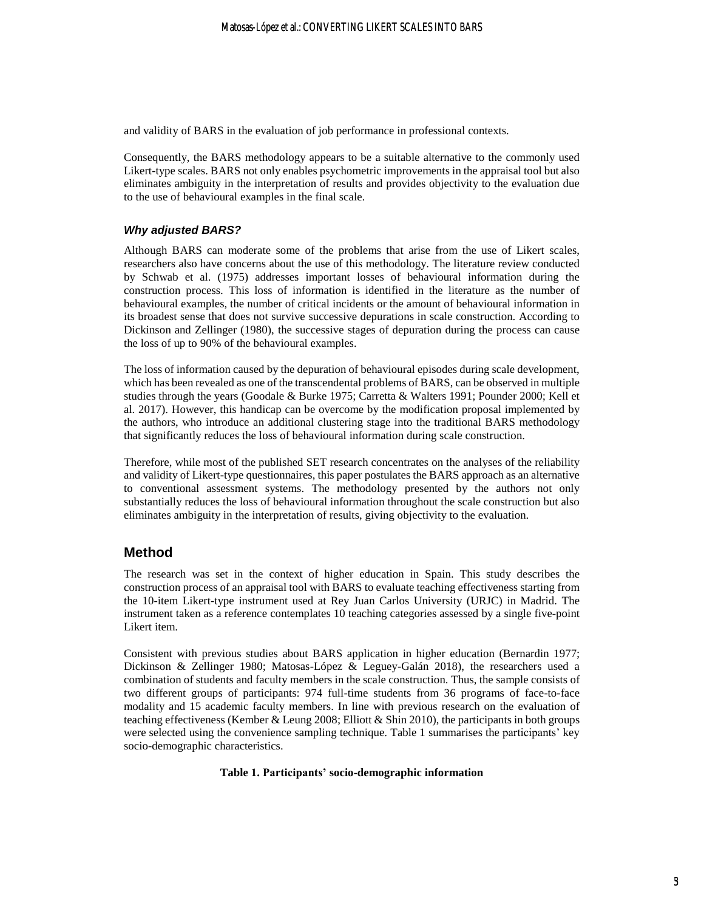and validity of BARS in the evaluation of job performance in professional contexts.

Consequently, the BARS methodology appears to be a suitable alternative to the commonly used Likert-type scales. BARS not only enables psychometric improvements in the appraisal tool but also eliminates ambiguity in the interpretation of results and provides objectivity to the evaluation due to the use of behavioural examples in the final scale.

#### *Why adjusted BARS?*

Although BARS can moderate some of the problems that arise from the use of Likert scales, researchers also have concerns about the use of this methodology. The literature review conducted by Schwab et al. (1975) addresses important losses of behavioural information during the construction process. This loss of information is identified in the literature as the number of behavioural examples, the number of critical incidents or the amount of behavioural information in its broadest sense that does not survive successive depurations in scale construction. According to Dickinson and Zellinger (1980), the successive stages of depuration during the process can cause the loss of up to 90% of the behavioural examples.

The loss of information caused by the depuration of behavioural episodes during scale development, which has been revealed as one of the transcendental problems of BARS, can be observed in multiple studies through the years (Goodale & Burke 1975; Carretta & Walters 1991; Pounder 2000; Kell et al. 2017). However, this handicap can be overcome by the modification proposal implemented by the authors, who introduce an additional clustering stage into the traditional BARS methodology that significantly reduces the loss of behavioural information during scale construction.

Therefore, while most of the published SET research concentrates on the analyses of the reliability and validity of Likert-type questionnaires, this paper postulates the BARS approach as an alternative to conventional assessment systems. The methodology presented by the authors not only substantially reduces the loss of behavioural information throughout the scale construction but also eliminates ambiguity in the interpretation of results, giving objectivity to the evaluation.

#### **Method**

The research was set in the context of higher education in Spain. This study describes the construction process of an appraisal tool with BARS to evaluate teaching effectiveness starting from the 10-item Likert-type instrument used at Rey Juan Carlos University (URJC) in Madrid. The instrument taken as a reference contemplates 10 teaching categories assessed by a single five-point Likert item.

Consistent with previous studies about BARS application in higher education (Bernardin 1977; Dickinson & Zellinger 1980; Matosas-López & Leguey-Galán 2018), the researchers used a combination of students and faculty members in the scale construction. Thus, the sample consists of two different groups of participants: 974 full-time students from 36 programs of face-to-face modality and 15 academic faculty members. In line with previous research on the evaluation of teaching effectiveness (Kember & Leung 2008; Elliott & Shin 2010), the participants in both groups were selected using the convenience sampling technique. Table 1 summarises the participants' key socio-demographic characteristics.

#### **Table 1. Participants' socio-demographic information**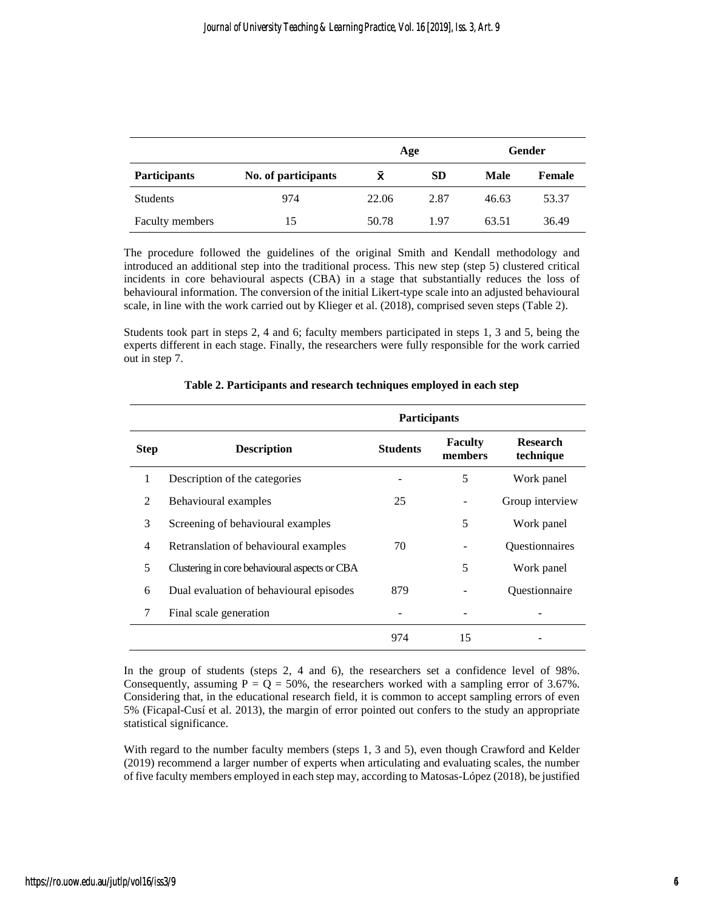|                     |                     |       | Age       |       | Gender        |
|---------------------|---------------------|-------|-----------|-------|---------------|
| <b>Participants</b> | No. of participants | X     | <b>SD</b> | Male  | <b>Female</b> |
| <b>Students</b>     | 974                 | 22.06 | 2.87      | 46.63 | 53.37         |
| Faculty members     | 15                  | 50.78 | 1.97      | 63.51 | 36.49         |

The procedure followed the guidelines of the original Smith and Kendall methodology and introduced an additional step into the traditional process. This new step (step 5) clustered critical incidents in core behavioural aspects (CBA) in a stage that substantially reduces the loss of behavioural information. The conversion of the initial Likert-type scale into an adjusted behavioural scale, in line with the work carried out by Klieger et al. (2018), comprised seven steps (Table 2).

Students took part in steps 2, 4 and 6; faculty members participated in steps 1, 3 and 5, being the experts different in each stage. Finally, the researchers were fully responsible for the work carried out in step 7.

|             |                                               | <b>Participants</b> |                           |                              |
|-------------|-----------------------------------------------|---------------------|---------------------------|------------------------------|
| <b>Step</b> | <b>Description</b>                            | <b>Students</b>     | <b>Faculty</b><br>members | <b>Research</b><br>technique |
|             | Description of the categories                 |                     | 5                         | Work panel                   |
| 2           | Behavioural examples                          | 25                  |                           | Group interview              |
| 3           | Screening of behavioural examples             |                     | 5                         | Work panel                   |
| 4           | Retranslation of behavioural examples         | 70                  |                           | Questionnaires               |
| 5           | Clustering in core behavioural aspects or CBA |                     | 5                         | Work panel                   |
| 6           | Dual evaluation of behavioural episodes       | 879                 |                           | Questionnaire                |
| 7           | Final scale generation                        |                     |                           |                              |
|             |                                               | 974                 | 15                        |                              |

#### **Table 2. Participants and research techniques employed in each step**

In the group of students (steps 2, 4 and 6), the researchers set a confidence level of 98%. Consequently, assuming  $P = Q = 50\%$ , the researchers worked with a sampling error of 3.67%. Considering that, in the educational research field, it is common to accept sampling errors of even 5% (Ficapal-Cusí et al. 2013), the margin of error pointed out confers to the study an appropriate statistical significance.

With regard to the number faculty members (steps 1, 3 and 5), even though Crawford and Kelder (2019) recommend a larger number of experts when articulating and evaluating scales, the number of five faculty members employed in each step may, according to Matosas-López (2018), be justified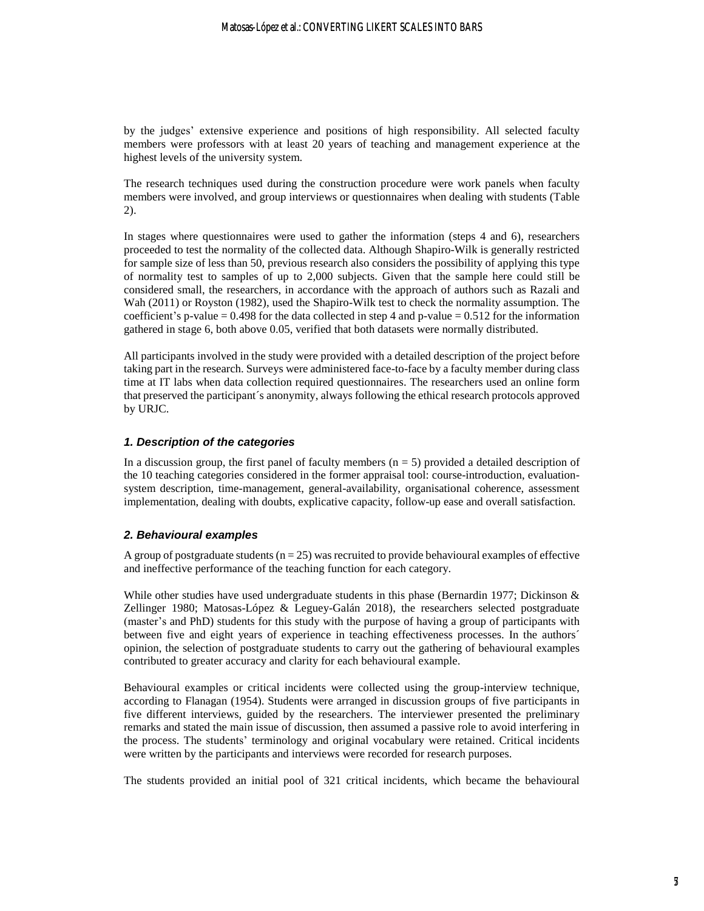by the judges' extensive experience and positions of high responsibility. All selected faculty members were professors with at least 20 years of teaching and management experience at the highest levels of the university system.

The research techniques used during the construction procedure were work panels when faculty members were involved, and group interviews or questionnaires when dealing with students (Table 2).

In stages where questionnaires were used to gather the information (steps 4 and 6), researchers proceeded to test the normality of the collected data. Although Shapiro-Wilk is generally restricted for sample size of less than 50, previous research also considers the possibility of applying this type of normality test to samples of up to 2,000 subjects. Given that the sample here could still be considered small, the researchers, in accordance with the approach of authors such as Razali and Wah (2011) or Royston (1982), used the Shapiro-Wilk test to check the normality assumption. The coefficient's p-value =  $0.498$  for the data collected in step 4 and p-value =  $0.512$  for the information gathered in stage 6, both above 0.05, verified that both datasets were normally distributed.

All participants involved in the study were provided with a detailed description of the project before taking part in the research. Surveys were administered face-to-face by a faculty member during class time at IT labs when data collection required questionnaires. The researchers used an online form that preserved the participant´s anonymity, always following the ethical research protocols approved by URJC.

#### *1. Description of the categories*

In a discussion group, the first panel of faculty members  $(n = 5)$  provided a detailed description of the 10 teaching categories considered in the former appraisal tool: course-introduction, evaluationsystem description, time-management, general-availability, organisational coherence, assessment implementation, dealing with doubts, explicative capacity, follow-up ease and overall satisfaction.

#### *2. Behavioural examples*

A group of postgraduate students ( $n = 25$ ) was recruited to provide behavioural examples of effective and ineffective performance of the teaching function for each category.

While other studies have used undergraduate students in this phase (Bernardin 1977; Dickinson  $\&$ Zellinger 1980; Matosas-López & Leguey-Galán 2018), the researchers selected postgraduate (master's and PhD) students for this study with the purpose of having a group of participants with between five and eight years of experience in teaching effectiveness processes. In the authors<sup> $\hat{ }$ </sup> opinion, the selection of postgraduate students to carry out the gathering of behavioural examples contributed to greater accuracy and clarity for each behavioural example.

Behavioural examples or critical incidents were collected using the group-interview technique, according to Flanagan (1954). Students were arranged in discussion groups of five participants in five different interviews, guided by the researchers. The interviewer presented the preliminary remarks and stated the main issue of discussion, then assumed a passive role to avoid interfering in the process. The students' terminology and original vocabulary were retained. Critical incidents were written by the participants and interviews were recorded for research purposes.

The students provided an initial pool of 321 critical incidents, which became the behavioural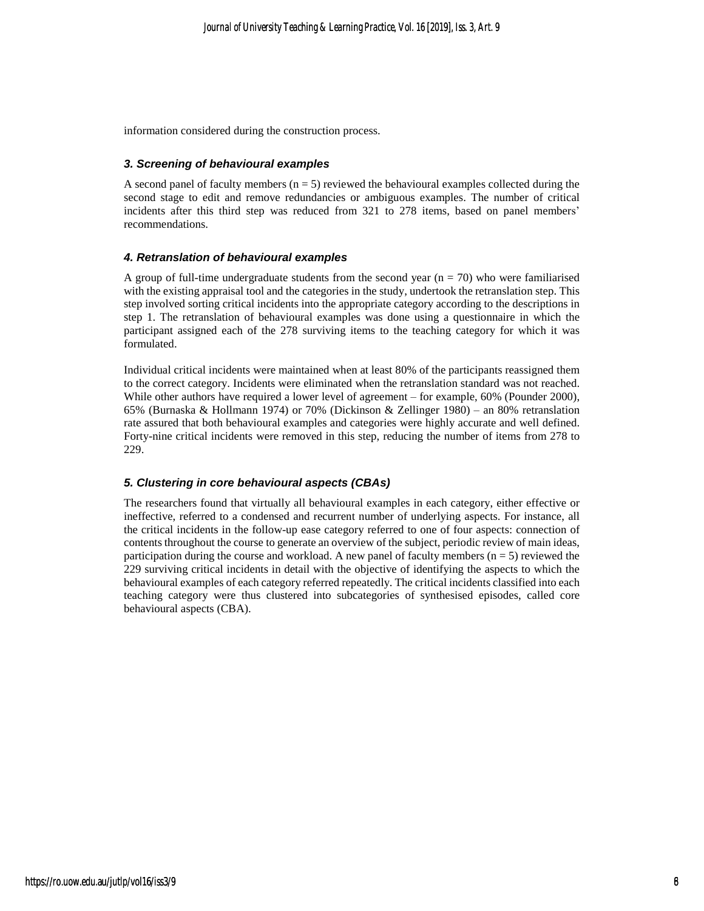information considered during the construction process.

#### *3. Screening of behavioural examples*

A second panel of faculty members ( $n = 5$ ) reviewed the behavioural examples collected during the second stage to edit and remove redundancies or ambiguous examples. The number of critical incidents after this third step was reduced from 321 to 278 items, based on panel members' recommendations.

#### *4. Retranslation of behavioural examples*

A group of full-time undergraduate students from the second year  $(n = 70)$  who were familiarised with the existing appraisal tool and the categories in the study, undertook the retranslation step. This step involved sorting critical incidents into the appropriate category according to the descriptions in step 1. The retranslation of behavioural examples was done using a questionnaire in which the participant assigned each of the 278 surviving items to the teaching category for which it was formulated.

Individual critical incidents were maintained when at least 80% of the participants reassigned them to the correct category. Incidents were eliminated when the retranslation standard was not reached. While other authors have required a lower level of agreement – for example, 60% (Pounder 2000), 65% (Burnaska & Hollmann 1974) or 70% (Dickinson & Zellinger 1980) – an 80% retranslation rate assured that both behavioural examples and categories were highly accurate and well defined. Forty-nine critical incidents were removed in this step, reducing the number of items from 278 to 229.

#### *5. Clustering in core behavioural aspects (CBAs)*

The researchers found that virtually all behavioural examples in each category, either effective or ineffective, referred to a condensed and recurrent number of underlying aspects. For instance, all the critical incidents in the follow-up ease category referred to one of four aspects: connection of contents throughout the course to generate an overview of the subject, periodic review of main ideas, participation during the course and workload. A new panel of faculty members ( $n = 5$ ) reviewed the 229 surviving critical incidents in detail with the objective of identifying the aspects to which the behavioural examples of each category referred repeatedly. The critical incidents classified into each teaching category were thus clustered into subcategories of synthesised episodes, called core behavioural aspects (CBA).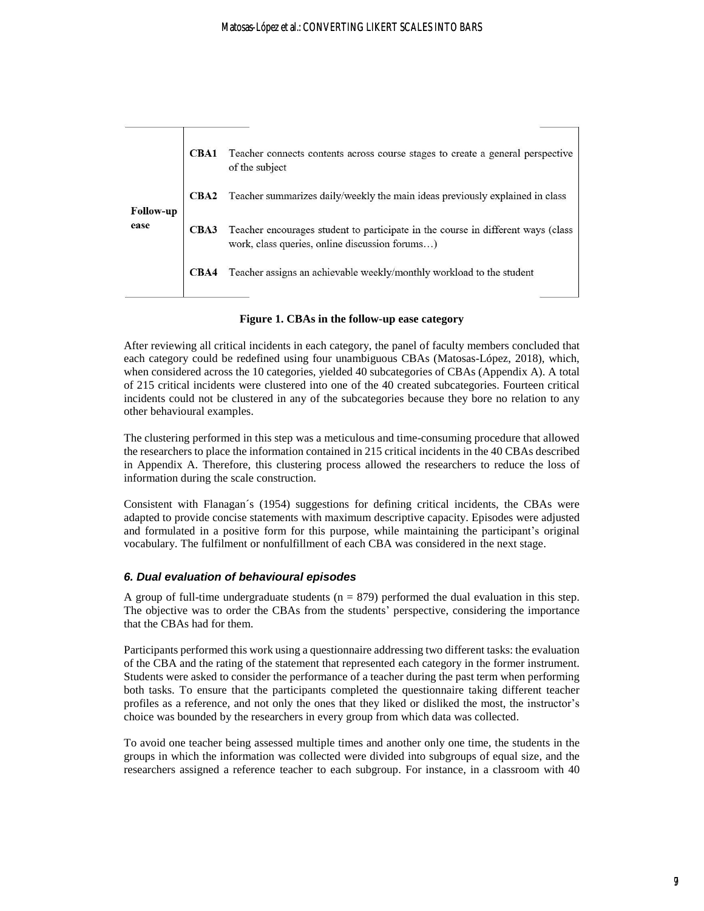|                  | CBA1 | Teacher connects contents across course stages to create a general perspective<br>of the subject                                   |
|------------------|------|------------------------------------------------------------------------------------------------------------------------------------|
| <b>Follow-up</b> | CBA2 | Teacher summarizes daily/weekly the main ideas previously explained in class                                                       |
| ease             | CBA3 | Teacher encourages student to participate in the course in different ways (class<br>work, class queries, online discussion forums) |
|                  | CBA4 | Teacher assigns an achievable weekly/monthly workload to the student                                                               |
|                  |      |                                                                                                                                    |

**Figure 1. CBAs in the follow-up ease category**

After reviewing all critical incidents in each category, the panel of faculty members concluded that each category could be redefined using four unambiguous CBAs (Matosas-López, 2018), which, when considered across the 10 categories, yielded 40 subcategories of CBAs (Appendix A). A total of 215 critical incidents were clustered into one of the 40 created subcategories. Fourteen critical incidents could not be clustered in any of the subcategories because they bore no relation to any other behavioural examples.

The clustering performed in this step was a meticulous and time-consuming procedure that allowed the researchers to place the information contained in 215 critical incidents in the 40 CBAs described in Appendix A. Therefore, this clustering process allowed the researchers to reduce the loss of information during the scale construction.

Consistent with Flanagan´s (1954) suggestions for defining critical incidents, the CBAs were adapted to provide concise statements with maximum descriptive capacity. Episodes were adjusted and formulated in a positive form for this purpose, while maintaining the participant's original vocabulary. The fulfilment or nonfulfillment of each CBA was considered in the next stage.

#### *6. Dual evaluation of behavioural episodes*

A group of full-time undergraduate students  $(n = 879)$  performed the dual evaluation in this step. The objective was to order the CBAs from the students' perspective, considering the importance that the CBAs had for them.

Participants performed this work using a questionnaire addressing two different tasks: the evaluation of the CBA and the rating of the statement that represented each category in the former instrument. Students were asked to consider the performance of a teacher during the past term when performing both tasks. To ensure that the participants completed the questionnaire taking different teacher profiles as a reference, and not only the ones that they liked or disliked the most, the instructor's choice was bounded by the researchers in every group from which data was collected.

To avoid one teacher being assessed multiple times and another only one time, the students in the groups in which the information was collected were divided into subgroups of equal size, and the researchers assigned a reference teacher to each subgroup. For instance, in a classroom with 40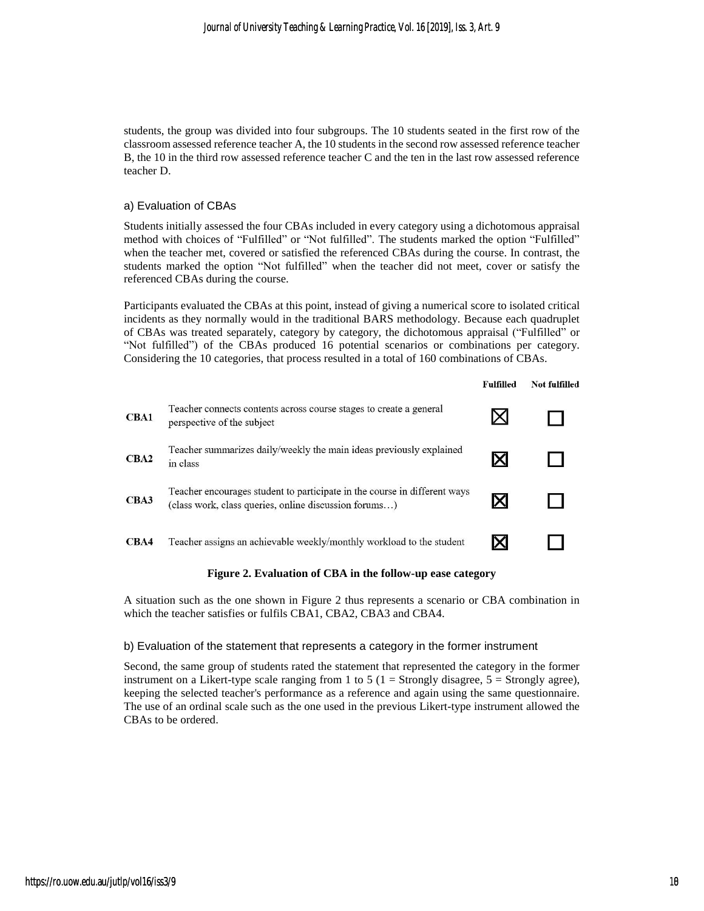students, the group was divided into four subgroups. The 10 students seated in the first row of the classroom assessed reference teacher A, the 10 students in the second row assessed reference teacher B, the 10 in the third row assessed reference teacher C and the ten in the last row assessed reference teacher D.

#### a) Evaluation of CBAs

Students initially assessed the four CBAs included in every category using a dichotomous appraisal method with choices of "Fulfilled" or "Not fulfilled". The students marked the option "Fulfilled" when the teacher met, covered or satisfied the referenced CBAs during the course. In contrast, the students marked the option "Not fulfilled" when the teacher did not meet, cover or satisfy the referenced CBAs during the course.

Participants evaluated the CBAs at this point, instead of giving a numerical score to isolated critical incidents as they normally would in the traditional BARS methodology. Because each quadruplet of CBAs was treated separately, category by category, the dichotomous appraisal ("Fulfilled" or "Not fulfilled") of the CBAs produced 16 potential scenarios or combinations per category. Considering the 10 categories, that process resulted in a total of 160 combinations of CBAs.

|      |                                                                                                                                    | <b>Fulfilled</b> | Not fulfilled |
|------|------------------------------------------------------------------------------------------------------------------------------------|------------------|---------------|
| CBA1 | Teacher connects contents across course stages to create a general<br>perspective of the subject                                   |                  |               |
| CBA2 | Teacher summarizes daily/weekly the main ideas previously explained<br>in class                                                    |                  |               |
| CBA3 | Teacher encourages student to participate in the course in different ways<br>(class work, class queries, online discussion forums) |                  |               |
| CBA4 | Teacher assigns an achievable weekly/monthly workload to the student                                                               |                  |               |

#### **Figure 2. Evaluation of CBA in the follow-up ease category**

A situation such as the one shown in Figure 2 thus represents a scenario or CBA combination in which the teacher satisfies or fulfils CBA1, CBA2, CBA3 and CBA4.

#### b) Evaluation of the statement that represents a category in the former instrument

Second, the same group of students rated the statement that represented the category in the former instrument on a Likert-type scale ranging from 1 to 5 ( $1 =$  Strongly disagree,  $5 =$  Strongly agree), keeping the selected teacher's performance as a reference and again using the same questionnaire. The use of an ordinal scale such as the one used in the previous Likert-type instrument allowed the CBAs to be ordered.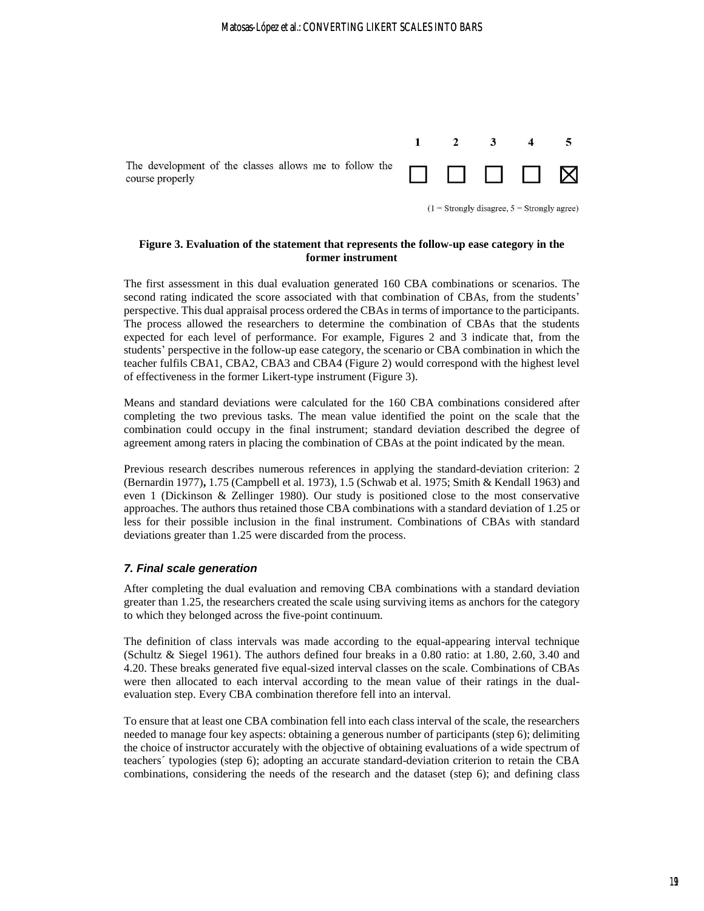

 $(1 =$  Strongly disagree,  $5 =$  Strongly agree)

#### **Figure 3. Evaluation of the statement that represents the follow-up ease category in the former instrument**

The first assessment in this dual evaluation generated 160 CBA combinations or scenarios. The second rating indicated the score associated with that combination of CBAs, from the students' perspective. This dual appraisal process ordered the CBAs in terms of importance to the participants. The process allowed the researchers to determine the combination of CBAs that the students expected for each level of performance. For example, Figures 2 and 3 indicate that, from the students' perspective in the follow-up ease category, the scenario or CBA combination in which the teacher fulfils CBA1, CBA2, CBA3 and CBA4 (Figure 2) would correspond with the highest level of effectiveness in the former Likert-type instrument (Figure 3).

Means and standard deviations were calculated for the 160 CBA combinations considered after completing the two previous tasks. The mean value identified the point on the scale that the combination could occupy in the final instrument; standard deviation described the degree of agreement among raters in placing the combination of CBAs at the point indicated by the mean.

Previous research describes numerous references in applying the standard-deviation criterion: 2 (Bernardin 1977)**,** 1.75 (Campbell et al. 1973), 1.5 (Schwab et al. 1975; Smith & Kendall 1963) and even 1 (Dickinson & Zellinger 1980). Our study is positioned close to the most conservative approaches. The authors thus retained those CBA combinations with a standard deviation of 1.25 or less for their possible inclusion in the final instrument. Combinations of CBAs with standard deviations greater than 1.25 were discarded from the process.

#### *7. Final scale generation*

After completing the dual evaluation and removing CBA combinations with a standard deviation greater than 1.25, the researchers created the scale using surviving items as anchors for the category to which they belonged across the five-point continuum.

The definition of class intervals was made according to the equal-appearing interval technique (Schultz & Siegel 1961). The authors defined four breaks in a 0.80 ratio: at 1.80, 2.60, 3.40 and 4.20. These breaks generated five equal-sized interval classes on the scale. Combinations of CBAs were then allocated to each interval according to the mean value of their ratings in the dualevaluation step. Every CBA combination therefore fell into an interval.

To ensure that at least one CBA combination fell into each class interval of the scale, the researchers needed to manage four key aspects: obtaining a generous number of participants (step 6); delimiting the choice of instructor accurately with the objective of obtaining evaluations of a wide spectrum of teachers´ typologies (step 6); adopting an accurate standard-deviation criterion to retain the CBA combinations, considering the needs of the research and the dataset (step 6); and defining class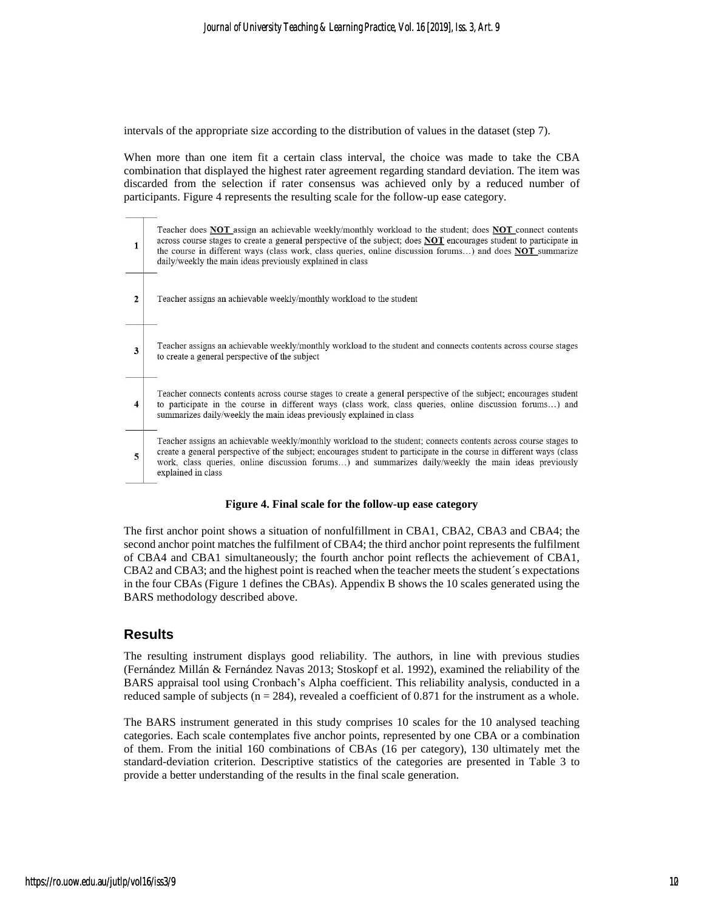intervals of the appropriate size according to the distribution of values in the dataset (step 7).

When more than one item fit a certain class interval, the choice was made to take the CBA combination that displayed the highest rater agreement regarding standard deviation. The item was discarded from the selection if rater consensus was achieved only by a reduced number of participants. Figure 4 represents the resulting scale for the follow-up ease category.



#### **Figure 4. Final scale for the follow-up ease category**

The first anchor point shows a situation of nonfulfillment in CBA1, CBA2, CBA3 and CBA4; the second anchor point matches the fulfilment of CBA4; the third anchor point represents the fulfilment of CBA4 and CBA1 simultaneously; the fourth anchor point reflects the achievement of CBA1, CBA2 and CBA3; and the highest point is reached when the teacher meets the student´s expectations in the four CBAs (Figure 1 defines the CBAs). Appendix B shows the 10 scales generated using the BARS methodology described above.

### **Results**

The resulting instrument displays good reliability. The authors, in line with previous studies (Fernández Millán & Fernández Navas 2013; Stoskopf et al. 1992), examined the reliability of the BARS appraisal tool using Cronbach's Alpha coefficient. This reliability analysis, conducted in a reduced sample of subjects ( $n = 284$ ), revealed a coefficient of 0.871 for the instrument as a whole.

The BARS instrument generated in this study comprises 10 scales for the 10 analysed teaching categories. Each scale contemplates five anchor points, represented by one CBA or a combination of them. From the initial 160 combinations of CBAs (16 per category), 130 ultimately met the standard-deviation criterion. Descriptive statistics of the categories are presented in Table 3 to provide a better understanding of the results in the final scale generation.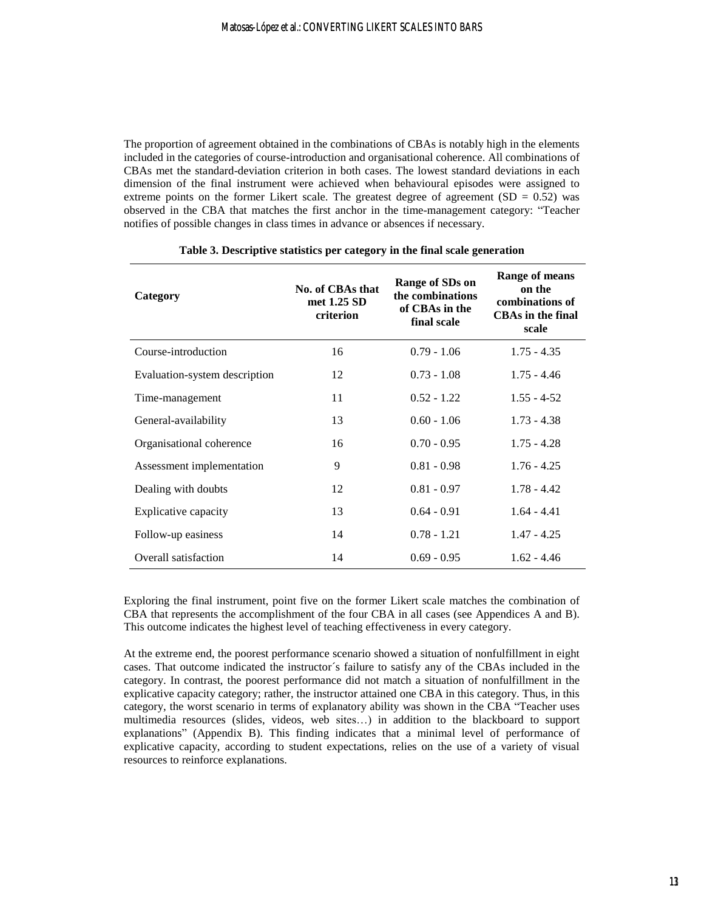The proportion of agreement obtained in the combinations of CBAs is notably high in the elements included in the categories of course-introduction and organisational coherence. All combinations of CBAs met the standard-deviation criterion in both cases. The lowest standard deviations in each dimension of the final instrument were achieved when behavioural episodes were assigned to extreme points on the former Likert scale. The greatest degree of agreement  $(SD = 0.52)$  was observed in the CBA that matches the first anchor in the time-management category: "Teacher notifies of possible changes in class times in advance or absences if necessary.

| Category                      | No. of CBAs that<br>met 1.25 SD<br>criterion | Range of SDs on<br>the combinations<br>of CBAs in the<br>final scale | Range of means<br>on the<br>combinations of<br><b>CBAs in the final</b><br>scale |
|-------------------------------|----------------------------------------------|----------------------------------------------------------------------|----------------------------------------------------------------------------------|
| Course-introduction           | 16                                           | $0.79 - 1.06$                                                        | $1.75 - 4.35$                                                                    |
| Evaluation-system description | 12                                           | $0.73 - 1.08$                                                        | $1.75 - 4.46$                                                                    |
| Time-management               | 11                                           | $0.52 - 1.22$                                                        | $1.55 - 4-52$                                                                    |
| General-availability          | 13                                           | $0.60 - 1.06$                                                        | $1.73 - 4.38$                                                                    |
| Organisational coherence      | 16                                           | $0.70 - 0.95$                                                        | $1.75 - 4.28$                                                                    |
| Assessment implementation     | 9                                            | $0.81 - 0.98$                                                        | $1.76 - 4.25$                                                                    |
| Dealing with doubts           | 12                                           | $0.81 - 0.97$                                                        | $1.78 - 4.42$                                                                    |
| <b>Explicative capacity</b>   | 13                                           | $0.64 - 0.91$                                                        | $1.64 - 4.41$                                                                    |
| Follow-up easiness            | 14                                           | $0.78 - 1.21$                                                        | $1.47 - 4.25$                                                                    |
| Overall satisfaction          | 14                                           | $0.69 - 0.95$                                                        | $1.62 - 4.46$                                                                    |

#### **Table 3. Descriptive statistics per category in the final scale generation**

Exploring the final instrument, point five on the former Likert scale matches the combination of CBA that represents the accomplishment of the four CBA in all cases (see Appendices A and B). This outcome indicates the highest level of teaching effectiveness in every category.

At the extreme end, the poorest performance scenario showed a situation of nonfulfillment in eight cases. That outcome indicated the instructor´s failure to satisfy any of the CBAs included in the category. In contrast, the poorest performance did not match a situation of nonfulfillment in the explicative capacity category; rather, the instructor attained one CBA in this category. Thus, in this category, the worst scenario in terms of explanatory ability was shown in the CBA "Teacher uses multimedia resources (slides, videos, web sites…) in addition to the blackboard to support explanations" (Appendix B). This finding indicates that a minimal level of performance of explicative capacity, according to student expectations, relies on the use of a variety of visual resources to reinforce explanations.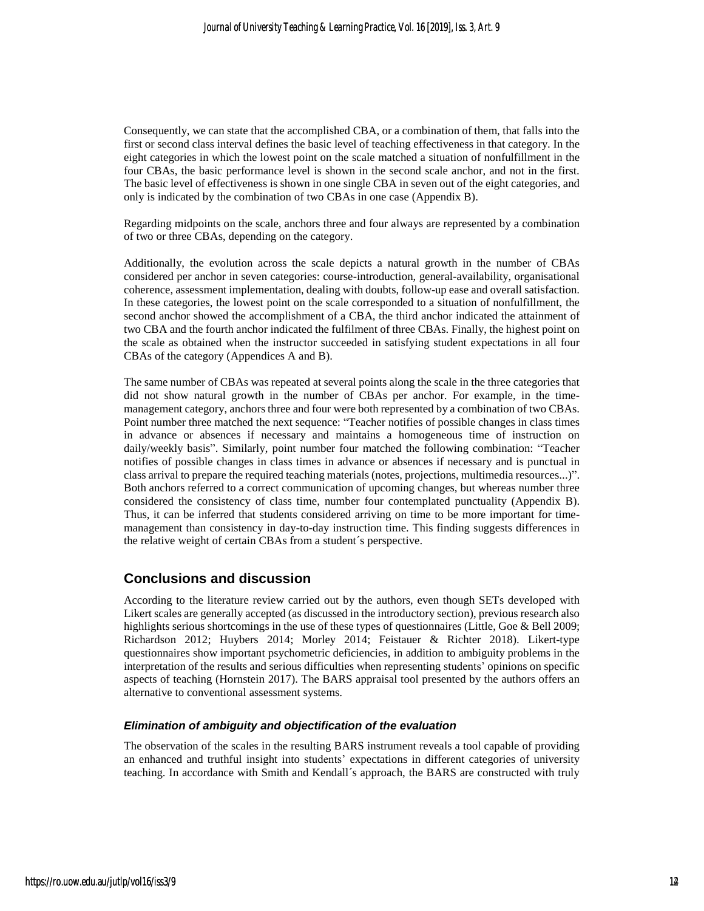Consequently, we can state that the accomplished CBA, or a combination of them, that falls into the first or second class interval defines the basic level of teaching effectiveness in that category. In the eight categories in which the lowest point on the scale matched a situation of nonfulfillment in the four CBAs, the basic performance level is shown in the second scale anchor, and not in the first. The basic level of effectiveness is shown in one single CBA in seven out of the eight categories, and only is indicated by the combination of two CBAs in one case (Appendix B).

Regarding midpoints on the scale, anchors three and four always are represented by a combination of two or three CBAs, depending on the category.

Additionally, the evolution across the scale depicts a natural growth in the number of CBAs considered per anchor in seven categories: course-introduction, general-availability, organisational coherence, assessment implementation, dealing with doubts, follow-up ease and overall satisfaction. In these categories, the lowest point on the scale corresponded to a situation of nonfulfillment, the second anchor showed the accomplishment of a CBA, the third anchor indicated the attainment of two CBA and the fourth anchor indicated the fulfilment of three CBAs. Finally, the highest point on the scale as obtained when the instructor succeeded in satisfying student expectations in all four CBAs of the category (Appendices A and B).

The same number of CBAs was repeated at several points along the scale in the three categories that did not show natural growth in the number of CBAs per anchor. For example, in the timemanagement category, anchors three and four were both represented by a combination of two CBAs. Point number three matched the next sequence: "Teacher notifies of possible changes in class times in advance or absences if necessary and maintains a homogeneous time of instruction on daily/weekly basis". Similarly, point number four matched the following combination: "Teacher notifies of possible changes in class times in advance or absences if necessary and is punctual in class arrival to prepare the required teaching materials (notes, projections, multimedia resources...)". Both anchors referred to a correct communication of upcoming changes, but whereas number three considered the consistency of class time, number four contemplated punctuality (Appendix B). Thus, it can be inferred that students considered arriving on time to be more important for timemanagement than consistency in day-to-day instruction time. This finding suggests differences in the relative weight of certain CBAs from a student´s perspective.

## **Conclusions and discussion**

According to the literature review carried out by the authors, even though SETs developed with Likert scales are generally accepted (as discussed in the introductory section), previous research also highlights serious shortcomings in the use of these types of questionnaires (Little, Goe & Bell 2009; Richardson 2012; Huybers 2014; Morley 2014; Feistauer & Richter 2018). Likert-type questionnaires show important psychometric deficiencies, in addition to ambiguity problems in the interpretation of the results and serious difficulties when representing students' opinions on specific aspects of teaching (Hornstein 2017). The BARS appraisal tool presented by the authors offers an alternative to conventional assessment systems.

#### *Elimination of ambiguity and objectification of the evaluation*

The observation of the scales in the resulting BARS instrument reveals a tool capable of providing an enhanced and truthful insight into students' expectations in different categories of university teaching. In accordance with Smith and Kendall´s approach, the BARS are constructed with truly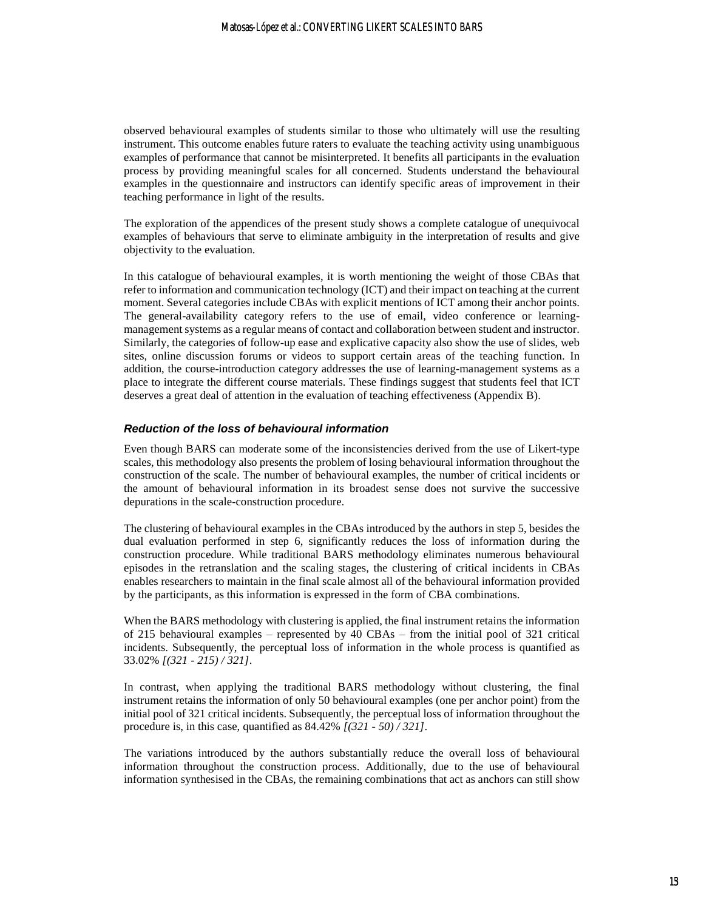observed behavioural examples of students similar to those who ultimately will use the resulting instrument. This outcome enables future raters to evaluate the teaching activity using unambiguous examples of performance that cannot be misinterpreted. It benefits all participants in the evaluation process by providing meaningful scales for all concerned. Students understand the behavioural examples in the questionnaire and instructors can identify specific areas of improvement in their teaching performance in light of the results.

The exploration of the appendices of the present study shows a complete catalogue of unequivocal examples of behaviours that serve to eliminate ambiguity in the interpretation of results and give objectivity to the evaluation.

In this catalogue of behavioural examples, it is worth mentioning the weight of those CBAs that refer to information and communication technology (ICT) and their impact on teaching at the current moment. Several categories include CBAs with explicit mentions of ICT among their anchor points. The general-availability category refers to the use of email, video conference or learningmanagement systems as a regular means of contact and collaboration between student and instructor. Similarly, the categories of follow-up ease and explicative capacity also show the use of slides, web sites, online discussion forums or videos to support certain areas of the teaching function. In addition, the course-introduction category addresses the use of learning-management systems as a place to integrate the different course materials. These findings suggest that students feel that ICT deserves a great deal of attention in the evaluation of teaching effectiveness (Appendix B).

#### *Reduction of the loss of behavioural information*

Even though BARS can moderate some of the inconsistencies derived from the use of Likert-type scales, this methodology also presents the problem of losing behavioural information throughout the construction of the scale. The number of behavioural examples, the number of critical incidents or the amount of behavioural information in its broadest sense does not survive the successive depurations in the scale-construction procedure.

The clustering of behavioural examples in the CBAs introduced by the authors in step 5, besides the dual evaluation performed in step 6, significantly reduces the loss of information during the construction procedure. While traditional BARS methodology eliminates numerous behavioural episodes in the retranslation and the scaling stages, the clustering of critical incidents in CBAs enables researchers to maintain in the final scale almost all of the behavioural information provided by the participants, as this information is expressed in the form of CBA combinations.

When the BARS methodology with clustering is applied, the final instrument retains the information of 215 behavioural examples – represented by 40 CBAs – from the initial pool of 321 critical incidents. Subsequently, the perceptual loss of information in the whole process is quantified as 33.02% *[(321 - 215) / 321]*.

In contrast, when applying the traditional BARS methodology without clustering, the final instrument retains the information of only 50 behavioural examples (one per anchor point) from the initial pool of 321 critical incidents. Subsequently, the perceptual loss of information throughout the procedure is, in this case, quantified as 84.42% *[(321 - 50) / 321]*.

The variations introduced by the authors substantially reduce the overall loss of behavioural information throughout the construction process. Additionally, due to the use of behavioural information synthesised in the CBAs, the remaining combinations that act as anchors can still show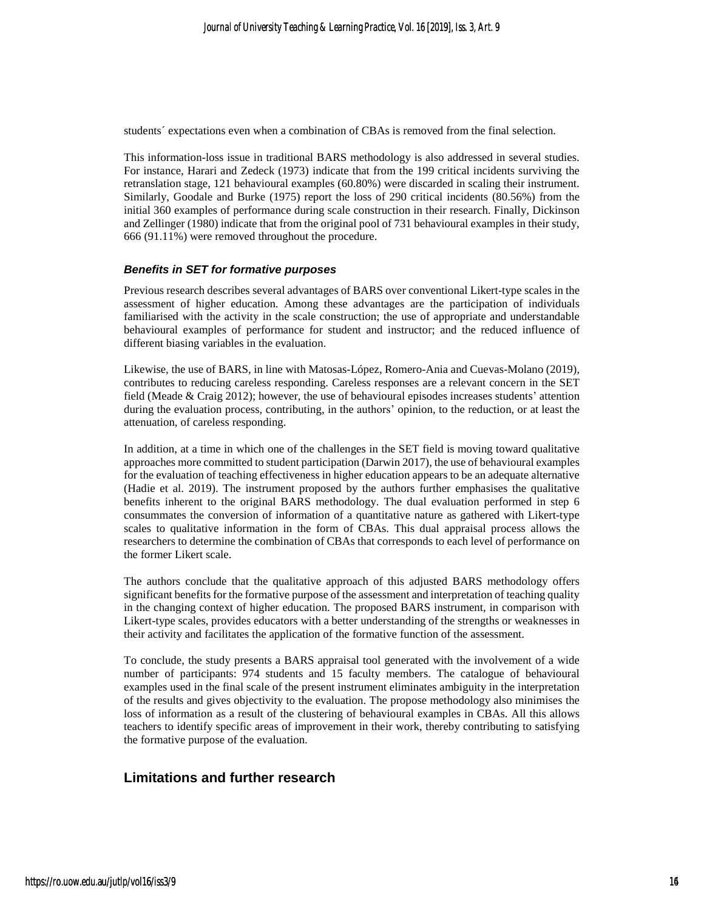students´ expectations even when a combination of CBAs is removed from the final selection.

This information-loss issue in traditional BARS methodology is also addressed in several studies. For instance, Harari and Zedeck (1973) indicate that from the 199 critical incidents surviving the retranslation stage, 121 behavioural examples (60.80%) were discarded in scaling their instrument. Similarly, Goodale and Burke (1975) report the loss of 290 critical incidents (80.56%) from the initial 360 examples of performance during scale construction in their research. Finally, Dickinson and Zellinger (1980) indicate that from the original pool of 731 behavioural examples in their study, 666 (91.11%) were removed throughout the procedure.

#### *Benefits in SET for formative purposes*

Previous research describes several advantages of BARS over conventional Likert-type scales in the assessment of higher education. Among these advantages are the participation of individuals familiarised with the activity in the scale construction; the use of appropriate and understandable behavioural examples of performance for student and instructor; and the reduced influence of different biasing variables in the evaluation.

Likewise, the use of BARS, in line with Matosas-López, Romero-Ania and Cuevas-Molano (2019), contributes to reducing careless responding. Careless responses are a relevant concern in the SET field (Meade & Craig 2012); however, the use of behavioural episodes increases students' attention during the evaluation process, contributing, in the authors' opinion, to the reduction, or at least the attenuation, of careless responding.

In addition, at a time in which one of the challenges in the SET field is moving toward qualitative approaches more committed to student participation (Darwin 2017), the use of behavioural examples for the evaluation of teaching effectiveness in higher education appears to be an adequate alternative (Hadie et al. 2019). The instrument proposed by the authors further emphasises the qualitative benefits inherent to the original BARS methodology. The dual evaluation performed in step 6 consummates the conversion of information of a quantitative nature as gathered with Likert-type scales to qualitative information in the form of CBAs. This dual appraisal process allows the researchers to determine the combination of CBAs that corresponds to each level of performance on the former Likert scale.

The authors conclude that the qualitative approach of this adjusted BARS methodology offers significant benefits for the formative purpose of the assessment and interpretation of teaching quality in the changing context of higher education. The proposed BARS instrument, in comparison with Likert-type scales, provides educators with a better understanding of the strengths or weaknesses in their activity and facilitates the application of the formative function of the assessment.

To conclude, the study presents a BARS appraisal tool generated with the involvement of a wide number of participants: 974 students and 15 faculty members. The catalogue of behavioural examples used in the final scale of the present instrument eliminates ambiguity in the interpretation of the results and gives objectivity to the evaluation. The propose methodology also minimises the loss of information as a result of the clustering of behavioural examples in CBAs. All this allows teachers to identify specific areas of improvement in their work, thereby contributing to satisfying the formative purpose of the evaluation.

### **Limitations and further research**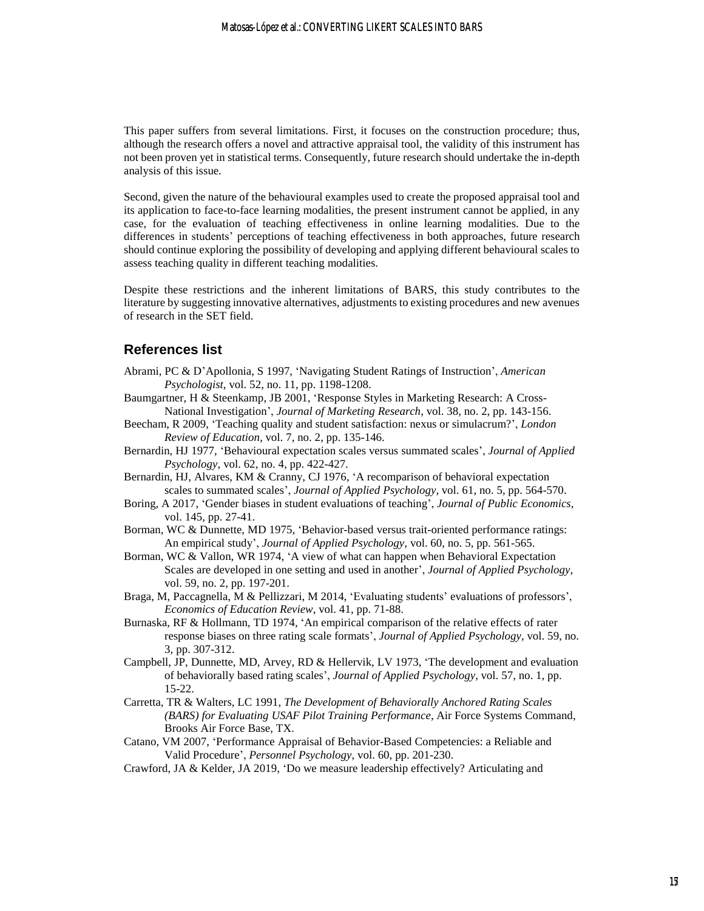This paper suffers from several limitations. First, it focuses on the construction procedure; thus, although the research offers a novel and attractive appraisal tool, the validity of this instrument has not been proven yet in statistical terms. Consequently, future research should undertake the in-depth analysis of this issue.

Second, given the nature of the behavioural examples used to create the proposed appraisal tool and its application to face-to-face learning modalities, the present instrument cannot be applied, in any case, for the evaluation of teaching effectiveness in online learning modalities. Due to the differences in students' perceptions of teaching effectiveness in both approaches, future research should continue exploring the possibility of developing and applying different behavioural scales to assess teaching quality in different teaching modalities.

Despite these restrictions and the inherent limitations of BARS, this study contributes to the literature by suggesting innovative alternatives, adjustments to existing procedures and new avenues of research in the SET field.

### **References list**

- Abrami, PC & D'Apollonia, S 1997, 'Navigating Student Ratings of Instruction', *American Psychologist*, vol. 52, no. 11, pp. 1198-1208.
- Baumgartner, H & Steenkamp, JB 2001, 'Response Styles in Marketing Research: A Cross-National Investigation', *Journal of Marketing Research*, vol. 38, no. 2, pp. 143-156.
- Beecham, R 2009, 'Teaching quality and student satisfaction: nexus or simulacrum?', *London Review of Education*, vol. 7, no. 2, pp. 135-146.
- Bernardin, HJ 1977, 'Behavioural expectation scales versus summated scales', *Journal of Applied Psychology*, vol. 62, no. 4, pp. 422-427.

Bernardin, HJ, Alvares, KM & Cranny, CJ 1976, 'A recomparison of behavioral expectation scales to summated scales', *Journal of Applied Psychology*, vol. 61, no. 5, pp. 564-570.

- Boring, A 2017, 'Gender biases in student evaluations of teaching', *Journal of Public Economics*, vol. 145, pp. 27-41.
- Borman, WC & Dunnette, MD 1975, 'Behavior-based versus trait-oriented performance ratings: An empirical study', *Journal of Applied Psychology*, vol. 60, no. 5, pp. 561-565.
- Borman, WC & Vallon, WR 1974, 'A view of what can happen when Behavioral Expectation Scales are developed in one setting and used in another', *Journal of Applied Psychology*, vol. 59, no. 2, pp. 197-201.
- Braga, M, Paccagnella, M & Pellizzari, M 2014, 'Evaluating students' evaluations of professors', *Economics of Education Review*, vol. 41, pp. 71-88.
- Burnaska, RF & Hollmann, TD 1974, 'An empirical comparison of the relative effects of rater response biases on three rating scale formats', *Journal of Applied Psychology*, vol. 59, no. 3, pp. 307-312.
- Campbell, JP, Dunnette, MD, Arvey, RD & Hellervik, LV 1973, 'The development and evaluation of behaviorally based rating scales', *Journal of Applied Psychology*, vol. 57, no. 1, pp. 15-22.
- Carretta, TR & Walters, LC 1991, *The Development of Behaviorally Anchored Rating Scales (BARS) for Evaluating USAF Pilot Training Performance*, Air Force Systems Command, Brooks Air Force Base, TX.
- Catano, VM 2007, 'Performance Appraisal of Behavior-Based Competencies: a Reliable and Valid Procedure', *Personnel Psychology*, vol. 60, pp. 201-230.
- Crawford, JA & Kelder, JA 2019, 'Do we measure leadership effectively? Articulating and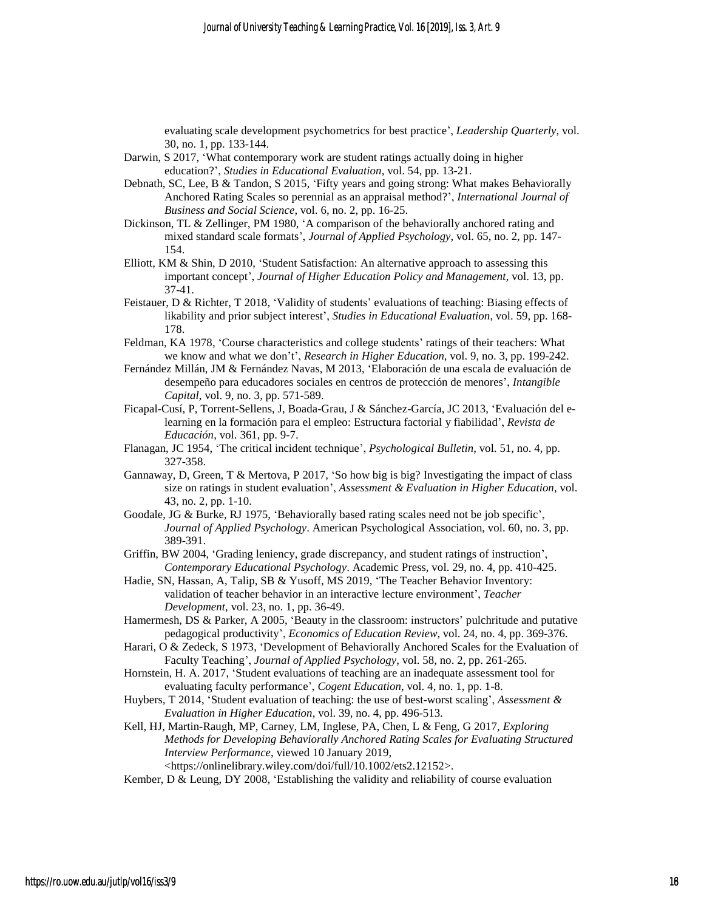evaluating scale development psychometrics for best practice', *Leadership Quarterly*, vol. 30, no. 1, pp. 133-144.

- Darwin, S 2017, 'What contemporary work are student ratings actually doing in higher education?', *Studies in Educational Evaluation*, vol. 54, pp. 13-21.
- Debnath, SC, Lee, B & Tandon, S 2015, 'Fifty years and going strong: What makes Behaviorally Anchored Rating Scales so perennial as an appraisal method?', *International Journal of Business and Social Science*, vol. 6, no. 2, pp. 16-25.
- Dickinson, TL & Zellinger, PM 1980, 'A comparison of the behaviorally anchored rating and mixed standard scale formats', *Journal of Applied Psychology*, vol. 65, no. 2, pp. 147- 154.
- Elliott, KM & Shin, D 2010, 'Student Satisfaction: An alternative approach to assessing this important concept', *Journal of Higher Education Policy and Management*, vol. 13, pp. 37-41.
- Feistauer, D & Richter, T 2018, 'Validity of students' evaluations of teaching: Biasing effects of likability and prior subject interest', *Studies in Educational Evaluation*, vol. 59, pp. 168- 178.
- Feldman, KA 1978, 'Course characteristics and college students' ratings of their teachers: What we know and what we don't', *Research in Higher Education*, vol. 9, no. 3, pp. 199-242.
- Fernández Millán, JM & Fernández Navas, M 2013, 'Elaboración de una escala de evaluación de desempeño para educadores sociales en centros de protección de menores', *Intangible Capital*, vol. 9, no. 3, pp. 571-589.
- Ficapal-Cusí, P, Torrent-Sellens, J, Boada-Grau, J & Sánchez-García, JC 2013, 'Evaluación del elearning en la formación para el empleo: Estructura factorial y fiabilidad', *Revista de Educación*, vol. 361, pp. 9-7.
- Flanagan, JC 1954, 'The critical incident technique', *Psychological Bulletin*, vol. 51, no. 4, pp. 327-358.
- Gannaway, D, Green, T & Mertova, P 2017, 'So how big is big? Investigating the impact of class size on ratings in student evaluation', *Assessment & Evaluation in Higher Education*, vol. 43, no. 2, pp. 1-10.
- Goodale, JG & Burke, RJ 1975, 'Behaviorally based rating scales need not be job specific', *Journal of Applied Psychology*. American Psychological Association, vol. 60, no. 3, pp. 389-391.
- Griffin, BW 2004, 'Grading leniency, grade discrepancy, and student ratings of instruction', *Contemporary Educational Psychology*. Academic Press, vol. 29, no. 4, pp. 410-425.
- Hadie, SN, Hassan, A, Talip, SB & Yusoff, MS 2019, 'The Teacher Behavior Inventory: validation of teacher behavior in an interactive lecture environment', *Teacher Development*, vol. 23, no. 1, pp. 36-49.
- Hamermesh, DS & Parker, A 2005, 'Beauty in the classroom: instructors' pulchritude and putative pedagogical productivity', *Economics of Education Review*, vol. 24, no. 4, pp. 369-376.
- Harari, O & Zedeck, S 1973, 'Development of Behaviorally Anchored Scales for the Evaluation of Faculty Teaching', *Journal of Applied Psychology*, vol. 58, no. 2, pp. 261-265.
- Hornstein, H. A. 2017, 'Student evaluations of teaching are an inadequate assessment tool for evaluating faculty performance', *Cogent Education*, vol. 4, no. 1, pp. 1-8.
- Huybers, T 2014, 'Student evaluation of teaching: the use of best-worst scaling', *Assessment & Evaluation in Higher Education*, vol. 39, no. 4, pp. 496-513.
- Kell, HJ, Martin-Raugh, MP, Carney, LM, Inglese, PA, Chen, L & Feng, G 2017, *Exploring Methods for Developing Behaviorally Anchored Rating Scales for Evaluating Structured Interview Performance*, viewed 10 January 2019, <https://onlinelibrary.wiley.com/doi/full/10.1002/ets2.12152>.
- Kember, D & Leung, DY 2008, 'Establishing the validity and reliability of course evaluation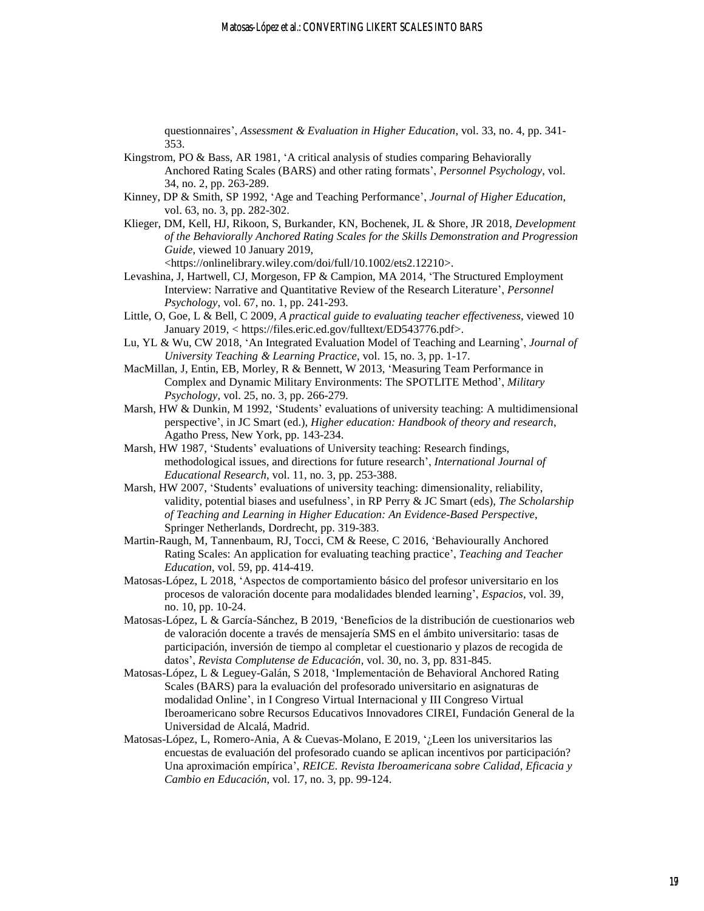questionnaires', *Assessment & Evaluation in Higher Education*, vol. 33, no. 4, pp. 341- 353.

- Kingstrom, PO & Bass, AR 1981, 'A critical analysis of studies comparing Behaviorally Anchored Rating Scales (BARS) and other rating formats', *Personnel Psychology*, vol. 34, no. 2, pp. 263-289.
- Kinney, DP & Smith, SP 1992, 'Age and Teaching Performance', *Journal of Higher Education*, vol. 63, no. 3, pp. 282-302.
- Klieger, DM, Kell, HJ, Rikoon, S, Burkander, KN, Bochenek, JL & Shore, JR 2018, *Development of the Behaviorally Anchored Rating Scales for the Skills Demonstration and Progression Guide*, viewed 10 January 2019,

<https://onlinelibrary.wiley.com/doi/full/10.1002/ets2.12210>.

- Levashina, J, Hartwell, CJ, Morgeson, FP & Campion, MA 2014, 'The Structured Employment Interview: Narrative and Quantitative Review of the Research Literature', *Personnel Psychology*, vol. 67, no. 1, pp. 241-293.
- Little, O, Goe, L & Bell, C 2009, *A practical guide to evaluating teacher effectiveness,* viewed 10 January 2019, < https://files.eric.ed.gov/fulltext/ED543776.pdf>.
- Lu, YL & Wu, CW 2018, 'An Integrated Evaluation Model of Teaching and Learning', *Journal of University Teaching & Learning Practice*, vol. 15, no. 3, pp. 1-17.
- MacMillan, J, Entin, EB, Morley, R & Bennett, W 2013, 'Measuring Team Performance in Complex and Dynamic Military Environments: The SPOTLITE Method', *Military Psychology*, vol. 25, no. 3, pp. 266-279.
- Marsh, HW & Dunkin, M 1992, 'Students' evaluations of university teaching: A multidimensional perspective', in JC Smart (ed.), *Higher education: Handbook of theory and research*, Agatho Press, New York, pp. 143-234.
- Marsh, HW 1987, 'Students' evaluations of University teaching: Research findings, methodological issues, and directions for future research', *International Journal of Educational Research*, vol. 11, no. 3, pp. 253-388.
- Marsh, HW 2007, 'Students' evaluations of university teaching: dimensionality, reliability, validity, potential biases and usefulness', in RP Perry & JC Smart (eds), *The Scholarship of Teaching and Learning in Higher Education: An Evidence-Based Perspective*, Springer Netherlands, Dordrecht, pp. 319-383.
- Martin-Raugh, M, Tannenbaum, RJ, Tocci, CM & Reese, C 2016, 'Behaviourally Anchored Rating Scales: An application for evaluating teaching practice', *Teaching and Teacher Education*, vol. 59, pp. 414-419.
- Matosas-López, L 2018, 'Aspectos de comportamiento básico del profesor universitario en los procesos de valoración docente para modalidades blended learning', *Espacios*, vol. 39, no. 10, pp. 10-24.
- Matosas-López, L & García-Sánchez, B 2019, 'Beneficios de la distribución de cuestionarios web de valoración docente a través de mensajería SMS en el ámbito universitario: tasas de participación, inversión de tiempo al completar el cuestionario y plazos de recogida de datos', *Revista Complutense de Educación*, vol. 30, no. 3, pp. 831-845.
- Matosas-López, L & Leguey-Galán, S 2018, 'Implementación de Behavioral Anchored Rating Scales (BARS) para la evaluación del profesorado universitario en asignaturas de modalidad Online', in I Congreso Virtual Internacional y III Congreso Virtual Iberoamericano sobre Recursos Educativos Innovadores CIREI, Fundación General de la Universidad de Alcalá, Madrid.
- Matosas-López, L, Romero-Ania, A & Cuevas-Molano, E 2019, '¿Leen los universitarios las encuestas de evaluación del profesorado cuando se aplican incentivos por participación? Una aproximación empírica', *REICE. Revista Iberoamericana sobre Calidad, Eficacia y Cambio en Educación*, vol. 17, no. 3, pp. 99-124.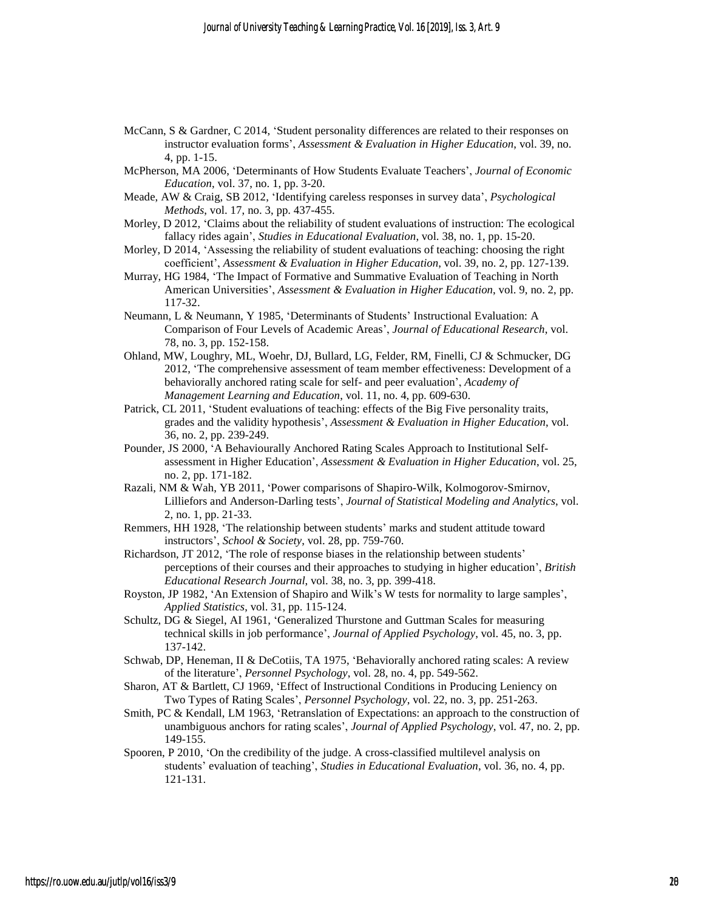- McCann, S & Gardner, C 2014, 'Student personality differences are related to their responses on instructor evaluation forms', *Assessment & Evaluation in Higher Education*, vol. 39, no. 4, pp. 1-15.
- McPherson, MA 2006, 'Determinants of How Students Evaluate Teachers', *Journal of Economic Education*, vol. 37, no. 1, pp. 3-20.
- Meade, AW & Craig, SB 2012, 'Identifying careless responses in survey data', *Psychological Methods*, vol. 17, no. 3, pp. 437-455.
- Morley, D 2012, 'Claims about the reliability of student evaluations of instruction: The ecological fallacy rides again', *Studies in Educational Evaluation*, vol. 38, no. 1, pp. 15-20.
- Morley, D 2014, 'Assessing the reliability of student evaluations of teaching: choosing the right coefficient', *Assessment & Evaluation in Higher Education*, vol. 39, no. 2, pp. 127-139.
- Murray, HG 1984, 'The Impact of Formative and Summative Evaluation of Teaching in North American Universities', *Assessment & Evaluation in Higher Education*, vol. 9, no. 2, pp. 117-32.
- Neumann, L & Neumann, Y 1985, 'Determinants of Students' Instructional Evaluation: A Comparison of Four Levels of Academic Areas', *Journal of Educational Research*, vol. 78, no. 3, pp. 152-158.
- Ohland, MW, Loughry, ML, Woehr, DJ, Bullard, LG, Felder, RM, Finelli, CJ & Schmucker, DG 2012, 'The comprehensive assessment of team member effectiveness: Development of a behaviorally anchored rating scale for self- and peer evaluation', *Academy of Management Learning and Education*, vol. 11, no. 4, pp. 609-630.
- Patrick, CL 2011, 'Student evaluations of teaching: effects of the Big Five personality traits, grades and the validity hypothesis', *Assessment & Evaluation in Higher Education*, vol. 36, no. 2, pp. 239-249.
- Pounder, JS 2000, 'A Behaviourally Anchored Rating Scales Approach to Institutional Selfassessment in Higher Education', *Assessment & Evaluation in Higher Education*, vol. 25, no. 2, pp. 171-182.
- Razali, NM & Wah, YB 2011, 'Power comparisons of Shapiro-Wilk, Kolmogorov-Smirnov, Lilliefors and Anderson-Darling tests', *Journal of Statistical Modeling and Analytics*, vol. 2, no. 1, pp. 21-33.
- Remmers, HH 1928, 'The relationship between students' marks and student attitude toward instructors', *School & Society*, vol. 28, pp. 759-760.
- Richardson, JT 2012, 'The role of response biases in the relationship between students' perceptions of their courses and their approaches to studying in higher education', *British Educational Research Journal*, vol. 38, no. 3, pp. 399-418.
- Royston, JP 1982, 'An Extension of Shapiro and Wilk's W tests for normality to large samples', *Applied Statistics*, vol. 31, pp. 115-124.
- Schultz, DG & Siegel, AI 1961, 'Generalized Thurstone and Guttman Scales for measuring technical skills in job performance', *Journal of Applied Psychology*, vol. 45, no. 3, pp. 137-142.
- Schwab, DP, Heneman, II & DeCotiis, TA 1975, 'Behaviorally anchored rating scales: A review of the literature', *Personnel Psychology*, vol. 28, no. 4, pp. 549-562.
- Sharon, AT & Bartlett, CJ 1969, 'Effect of Instructional Conditions in Producing Leniency on Two Types of Rating Scales', *Personnel Psychology*, vol. 22, no. 3, pp. 251-263.
- Smith, PC & Kendall, LM 1963, 'Retranslation of Expectations: an approach to the construction of unambiguous anchors for rating scales', *Journal of Applied Psychology*, vol. 47, no. 2, pp. 149-155.
- Spooren, P 2010, 'On the credibility of the judge. A cross-classified multilevel analysis on students' evaluation of teaching', *Studies in Educational Evaluation*, vol. 36, no. 4, pp. 121-131.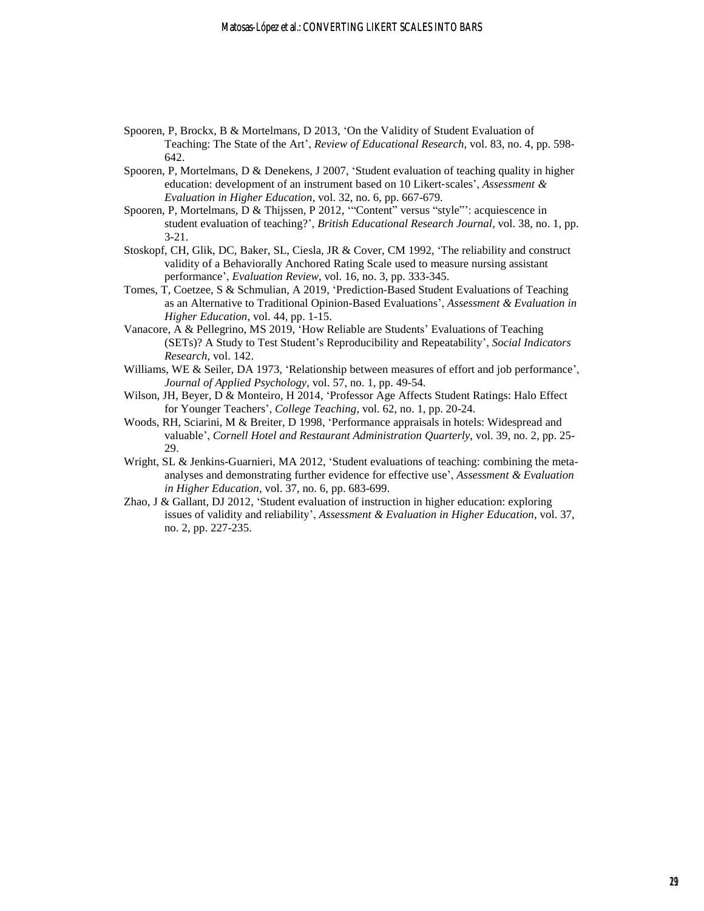- Spooren, P, Brockx, B & Mortelmans, D 2013, 'On the Validity of Student Evaluation of Teaching: The State of the Art', *Review of Educational Research*, vol. 83, no. 4, pp. 598- 642.
- Spooren, P, Mortelmans, D & Denekens, J 2007, 'Student evaluation of teaching quality in higher education: development of an instrument based on 10 Likert‐scales', *Assessment & Evaluation in Higher Education*, vol. 32, no. 6, pp. 667-679.
- Spooren, P, Mortelmans, D & Thijssen, P 2012, '"Content" versus "style"': acquiescence in student evaluation of teaching?', *British Educational Research Journal*, vol. 38, no. 1, pp. 3-21.
- Stoskopf, CH, Glik, DC, Baker, SL, Ciesla, JR & Cover, CM 1992, 'The reliability and construct validity of a Behaviorally Anchored Rating Scale used to measure nursing assistant performance', *Evaluation Review*, vol. 16, no. 3, pp. 333-345.
- Tomes, T, Coetzee, S & Schmulian, A 2019, 'Prediction-Based Student Evaluations of Teaching as an Alternative to Traditional Opinion-Based Evaluations', *Assessment & Evaluation in Higher Education*, vol. 44, pp. 1-15.
- Vanacore, A & Pellegrino, MS 2019, 'How Reliable are Students' Evaluations of Teaching (SETs)? A Study to Test Student's Reproducibility and Repeatability', *Social Indicators Research*, vol. 142.
- Williams, WE & Seiler, DA 1973, 'Relationship between measures of effort and job performance', *Journal of Applied Psychology*, vol. 57, no. 1, pp. 49-54.
- Wilson, JH, Beyer, D & Monteiro, H 2014, 'Professor Age Affects Student Ratings: Halo Effect for Younger Teachers', *College Teaching*, vol. 62, no. 1, pp. 20-24.
- Woods, RH, Sciarini, M & Breiter, D 1998, 'Performance appraisals in hotels: Widespread and valuable', *Cornell Hotel and Restaurant Administration Quarterly*, vol. 39, no. 2, pp. 25- 29.
- Wright, SL & Jenkins-Guarnieri, MA 2012, 'Student evaluations of teaching: combining the metaanalyses and demonstrating further evidence for effective use', *Assessment & Evaluation in Higher Education*, vol. 37, no. 6, pp. 683-699.
- Zhao, J & Gallant, DJ 2012, 'Student evaluation of instruction in higher education: exploring issues of validity and reliability', *Assessment & Evaluation in Higher Education*, vol. 37, no. 2, pp. 227-235.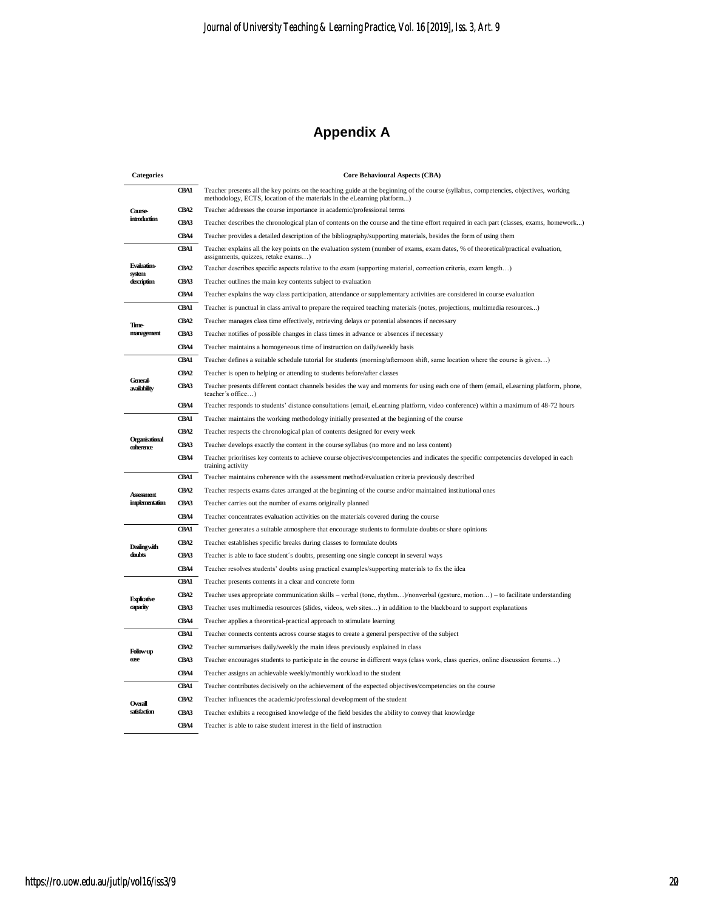## **Appendix A**

| <b>Categories</b>               |                  | <b>Core Behavioural Aspects (CBA)</b>                                                                                                                                                                            |  |
|---------------------------------|------------------|------------------------------------------------------------------------------------------------------------------------------------------------------------------------------------------------------------------|--|
|                                 | <b>CBA1</b>      | Teacher presents all the key points on the teaching guide at the beginning of the course (syllabus, competencies, objectives, working<br>methodology, ECTS, location of the materials in the eLearning platform) |  |
| Course-                         | CBA <sub>2</sub> | Teacher addresses the course importance in academic/professional terms                                                                                                                                           |  |
| introduction                    | CBA3             | Teacher describes the chronological plan of contents on the course and the time effort required in each part (classes, exams, homework)                                                                          |  |
|                                 | CBA4             | Teacher provides a detailed description of the bibliography/supporting materials, besides the form of using them                                                                                                 |  |
|                                 | <b>CBA1</b>      | Teacher explains all the key points on the evaluation system (number of exams, exam dates, % of theoretical/practical evaluation,<br>assignments, quizzes, retake exams)                                         |  |
| <b>Evaluation-</b><br>system    | CBA2             | Teacher describes specific aspects relative to the exam (supporting material, correction criteria, exam length)                                                                                                  |  |
| description                     | CBA3             | Teacher outlines the main key contents subject to evaluation                                                                                                                                                     |  |
|                                 | CB <sub>A4</sub> | Teacher explains the way class participation, attendance or supplementary activities are considered in course evaluation                                                                                         |  |
|                                 | <b>CBA1</b>      | Teacher is punctual in class arrival to prepare the required teaching materials (notes, projections, multimedia resources)                                                                                       |  |
| <b>Time-</b>                    | CBA2             | Teacher manages class time effectively, retrieving delays or potential absences if necessary                                                                                                                     |  |
| management                      | CBA3             | Teacher notifies of possible changes in class times in advance or absences if necessary                                                                                                                          |  |
|                                 | CBA4             | Teacher maintains a homogeneous time of instruction on daily/weekly basis                                                                                                                                        |  |
|                                 | <b>CBA1</b>      | Teacher defines a suitable schedule tutorial for students (morning/afternoon shift, same location where the course is given)                                                                                     |  |
|                                 | CBA2             | Teacher is open to helping or attending to students before/after classes                                                                                                                                         |  |
| <b>General-</b><br>availability | CBA3             | Teacher presents different contact channels besides the way and moments for using each one of them (email, eLearning platform, phone,<br>teacher's office)                                                       |  |
|                                 | CB <sub>A4</sub> | Teacher responds to students' distance consultations (email, eLearning platform, video conference) within a maximum of 48-72 hours                                                                               |  |
|                                 | <b>CBA1</b>      | Teacher maintains the working methodology initially presented at the beginning of the course                                                                                                                     |  |
|                                 | CBA <sub>2</sub> | Teacher respects the chronological plan of contents designed for every week                                                                                                                                      |  |
| Organisational<br>coherence     | CBA3             | Teacher develops exactly the content in the course syllabus (no more and no less content)                                                                                                                        |  |
|                                 | CBA4             | Teacher prioritises key contents to achieve course objectives/competencies and indicates the specific competencies developed in each<br>training activity                                                        |  |
|                                 | <b>CBA1</b>      | Teacher maintains coherence with the assessment method/evaluation criteria previously described                                                                                                                  |  |
| <b>Assessment</b>               | CBA2             | Teacher respects exams dates arranged at the beginning of the course and/or maintained institutional ones                                                                                                        |  |
| implementation                  | CBA3             | Teacher carries out the number of exams originally planned                                                                                                                                                       |  |
|                                 | <b>CBA4</b>      | Teacher concentrates evaluation activities on the materials covered during the course                                                                                                                            |  |
|                                 | <b>CBA1</b>      | Teacher generates a suitable atmosphere that encourage students to formulate doubts or share opinions                                                                                                            |  |
| <b>Dealing with</b>             | CBA2             | Teacher establishes specific breaks during classes to formulate doubts                                                                                                                                           |  |
| doubts                          | CBA3             | Teacher is able to face student's doubts, presenting one single concept in several ways                                                                                                                          |  |
|                                 | CBA4             | Teacher resolves students' doubts using practical examples/supporting materials to fix the idea                                                                                                                  |  |
|                                 | <b>CBA1</b>      | Teacher presents contents in a clear and concrete form                                                                                                                                                           |  |
| <b>Explicative</b>              | CBA2             | Teacher uses appropriate communication skills – verbal (tone, rhythm)/nonverbal (gesture, motion) – to facilitate understanding                                                                                  |  |
| capacity                        | CBA3             | Teacher uses multimedia resources (slides, videos, web sites) in addition to the blackboard to support explanations                                                                                              |  |
|                                 | CB <sub>A4</sub> | Teacher applies a theoretical-practical approach to stimulate learning                                                                                                                                           |  |
|                                 | <b>CBA1</b>      | Teacher connects contents across course stages to create a general perspective of the subject                                                                                                                    |  |
| <b>Follow-up</b>                | CBA <sub>2</sub> | Teacher summarises daily/weekly the main ideas previously explained in class                                                                                                                                     |  |
| ease                            | CBA3             | Teacher encourages students to participate in the course in different ways (class work, class queries, online discussion forums)                                                                                 |  |
|                                 | CB <sub>A4</sub> | Teacher assigns an achievable weekly/monthly workload to the student                                                                                                                                             |  |
|                                 | <b>CBA1</b>      | Teacher contributes decisively on the achievement of the expected objectives/competencies on the course                                                                                                          |  |
|                                 | CBA2             | Teacher influences the academic/professional development of the student                                                                                                                                          |  |
| Overall<br>satisfaction         | CBA3             | Teacher exhibits a recognised knowledge of the field besides the ability to convey that knowledge                                                                                                                |  |
|                                 | CBA4             | Teacher is able to raise student interest in the field of instruction                                                                                                                                            |  |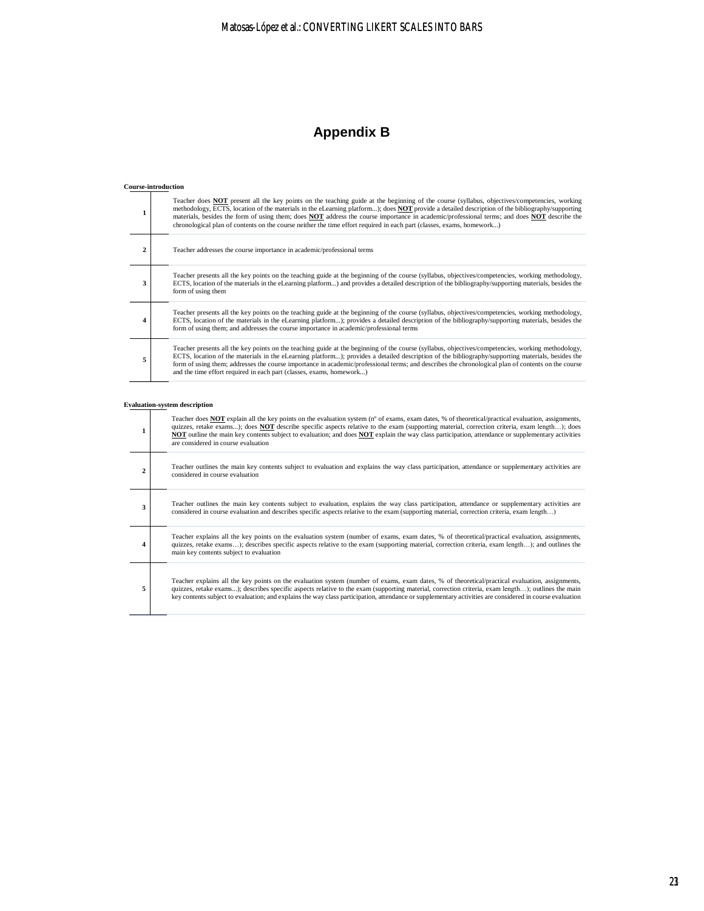## **Appendix B**

#### **Course-introduction**

|                | Teacher does NOT present all the key points on the teaching guide at the beginning of the course (syllabus, objectives/competencies, working<br>methodology, ECTS, location of the materials in the eLearning platform); does <b>NOT</b> provide a detailed description of the bibliography/supporting<br>materials, besides the form of using them; does <b>NOT</b> address the course importance in academic/professional terms; and does <b>NOT</b> describe the<br>chronological plan of contents on the course neither the time effort required in each part (classes, exams, homework) |
|----------------|----------------------------------------------------------------------------------------------------------------------------------------------------------------------------------------------------------------------------------------------------------------------------------------------------------------------------------------------------------------------------------------------------------------------------------------------------------------------------------------------------------------------------------------------------------------------------------------------|
| $\overline{2}$ | Teacher addresses the course importance in academic/professional terms                                                                                                                                                                                                                                                                                                                                                                                                                                                                                                                       |
| 3              | Teacher presents all the key points on the teaching guide at the beginning of the course (syllabus, objectives/competencies, working methodology,<br>ECTS, location of the materials in the eLearning platform) and provides a detailed description of the bibliography/supporting materials, besides the<br>form of using them                                                                                                                                                                                                                                                              |
| 4              | Teacher presents all the key points on the teaching guide at the beginning of the course (syllabus, objectives/competencies, working methodology,<br>ECTS, location of the materials in the eLearning platform); provides a detailed description of the bibliography/supporting materials, besides the<br>form of using them; and addresses the course importance in academic/professional terms                                                                                                                                                                                             |
| 5              | Teacher presents all the key points on the teaching guide at the beginning of the course (syllabus, objectives/competencies, working methodology,<br>ECTS, location of the materials in the eLearning platform); provides a detailed description of the bibliography/supporting materials, besides the<br>form of using them; addresses the course importance in academic/professional terms; and describes the chronological plan of contents on the course<br>and the time effort required in each part (classes, exams, homework)                                                         |

#### **Evaluation-system description**

|   | Teacher does <b>NOT</b> explain all the key points on the evaluation system ( $no$ of exams, exam dates, % of theoretical/practical evaluation, assignments,<br>quizzes, retake exams); does <b>NOT</b> describe specific aspects relative to the exam (supporting material, correction criteria, exam length); does<br>NOT outline the main key contents subject to evaluation; and does NOT explain the way class participation, attendance or supplementary activities<br>are considered in course evaluation |
|---|------------------------------------------------------------------------------------------------------------------------------------------------------------------------------------------------------------------------------------------------------------------------------------------------------------------------------------------------------------------------------------------------------------------------------------------------------------------------------------------------------------------|
| 2 | Teacher outlines the main key contents subject to evaluation and explains the way class participation, attendance or supplementary activities are<br>considered in course evaluation                                                                                                                                                                                                                                                                                                                             |
| 3 | Teacher outlines the main key contents subject to evaluation, explains the way class participation, attendance or supplementary activities are<br>considered in course evaluation and describes specific aspects relative to the exam (supporting material, correction criteria, exam length)                                                                                                                                                                                                                    |
| 4 | Teacher explains all the key points on the evaluation system (number of exams, exam dates, % of theoretical/practical evaluation, assignments,<br>quizzes, retake exams); describes specific aspects relative to the exam (supporting material, correction criteria, exam length); and outlines the<br>main key contents subject to evaluation                                                                                                                                                                   |
| 5 | Teacher explains all the key points on the evaluation system (number of exams, exam dates, % of theoretical/practical evaluation, assignments,<br>quizzes, retake exams); describes specific aspects relative to the exam (supporting material, correction criteria, exam length); outlines the main<br>key contents subject to evaluation; and explains the way class participation, attendance or supplementary activities are considered in course evaluation                                                 |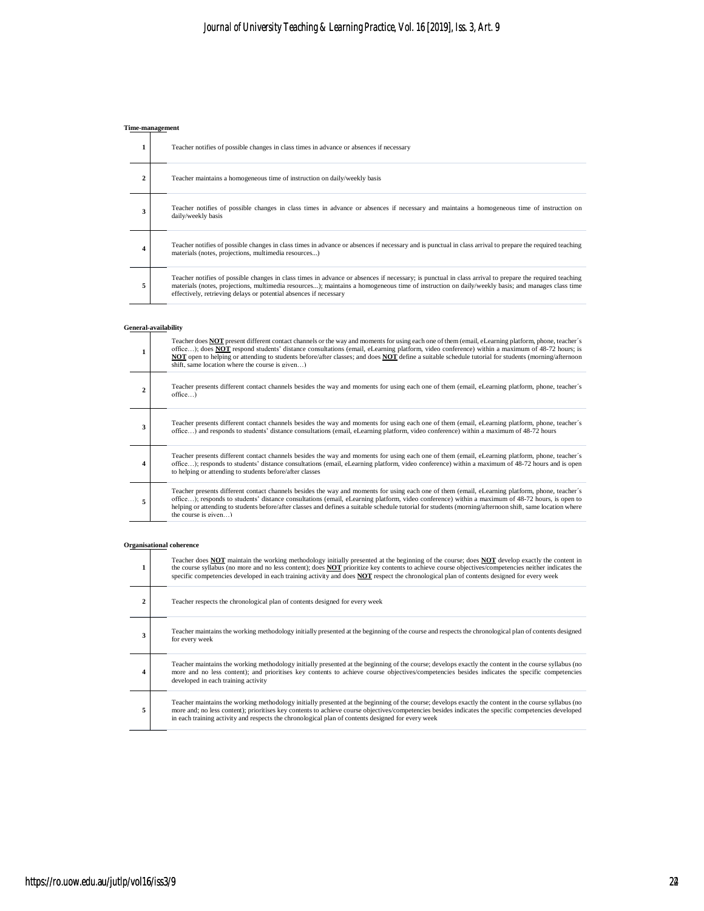## **Time-management**

|                |                    | Teacher notifies of possible changes in class times in advance or absences if necessary                                                                                                                                                                                                                                                                                        |
|----------------|--------------------|--------------------------------------------------------------------------------------------------------------------------------------------------------------------------------------------------------------------------------------------------------------------------------------------------------------------------------------------------------------------------------|
| $\overline{2}$ |                    | Teacher maintains a homogeneous time of instruction on daily/weekly basis                                                                                                                                                                                                                                                                                                      |
| 3              | daily/weekly basis | Teacher notifies of possible changes in class times in advance or absences if necessary and maintains a homogeneous time of instruction on                                                                                                                                                                                                                                     |
| 4              |                    | Teacher notifies of possible changes in class times in advance or absences if necessary and is punctual in class arrival to prepare the required teaching<br>materials (notes, projections, multimedia resources)                                                                                                                                                              |
| 5              |                    | Teacher notifies of possible changes in class times in advance or absences if necessary; is punctual in class arrival to prepare the required teaching<br>materials (notes, projections, multimedia resources); maintains a homogeneous time of instruction on daily/weekly basis; and manages class time<br>effectively, retrieving delays or potential absences if necessary |

#### **General-availability**

|   | Teacher does NOT present different contact channels or the way and moments for using each one of them (email, eLearning platform, phone, teacher's<br>office); does <b>NOT</b> respond students' distance consultations (email, eLearning platform, video conference) within a maximum of 48-72 hours; is<br>NOT open to helping or attending to students before/after classes; and does NOT define a suitable schedule tutorial for students (morning/afternoon<br>shift, same location where the course is given) |
|---|---------------------------------------------------------------------------------------------------------------------------------------------------------------------------------------------------------------------------------------------------------------------------------------------------------------------------------------------------------------------------------------------------------------------------------------------------------------------------------------------------------------------|
| 2 | Teacher presents different contact channels besides the way and moments for using each one of them (email, eLearning platform, phone, teacher's<br>$office$ )                                                                                                                                                                                                                                                                                                                                                       |
| 3 | Teacher presents different contact channels besides the way and moments for using each one of them (email, eLearning platform, phone, teacher's<br>office) and responds to students' distance consultations (email, eLearning platform, video conference) within a maximum of 48-72 hours                                                                                                                                                                                                                           |
| 4 | Teacher presents different contact channels besides the way and moments for using each one of them (email, eLearning platform, phone, teacher's<br>office); responds to students' distance consultations (email, eLearning platform, video conference) within a maximum of 48-72 hours and is open<br>to helping or attending to students before/after classes                                                                                                                                                      |
| 5 | Teacher presents different contact channels besides the way and moments for using each one of them (email, eLearning platform, phone, teacher's<br>office); responds to students' distance consultations (email, eLearning platform, video conference) within a maximum of 48-72 hours, is open to<br>helping or attending to students before/after classes and defines a suitable schedule tutorial for students (morning/afternoon shift, same location where<br>the course is $\sigma$ iven $\rightarrow$        |

#### **Organisational coherence**

|   | Teacher does NOT maintain the working methodology initially presented at the beginning of the course; does NOT develop exactly the content in<br>the course syllabus (no more and no less content); does NOT prioritize key contents to achieve course objectives/competencies neither indicates the<br>specific competencies developed in each training activity and does <b>NOT</b> respect the chronological plan of contents designed for every week |
|---|----------------------------------------------------------------------------------------------------------------------------------------------------------------------------------------------------------------------------------------------------------------------------------------------------------------------------------------------------------------------------------------------------------------------------------------------------------|
| 2 | Teacher respects the chronological plan of contents designed for every week                                                                                                                                                                                                                                                                                                                                                                              |
| 3 | Teacher maintains the working methodology initially presented at the beginning of the course and respects the chronological plan of contents designed<br>for every week                                                                                                                                                                                                                                                                                  |
| 4 | Teacher maintains the working methodology initially presented at the beginning of the course; develops exactly the content in the course syllabus (no<br>more and no less content); and prioritises key contents to achieve course objectives/competencies besides indicates the specific competencies<br>developed in each training activity                                                                                                            |
| 5 | Teacher maintains the working methodology initially presented at the beginning of the course; develops exactly the content in the course syllabus (no<br>more and; no less content); prioritises key contents to achieve course objectives/competencies besides indicates the specific competencies developed<br>in each training activity and respects the chronological plan of contents designed for every week                                       |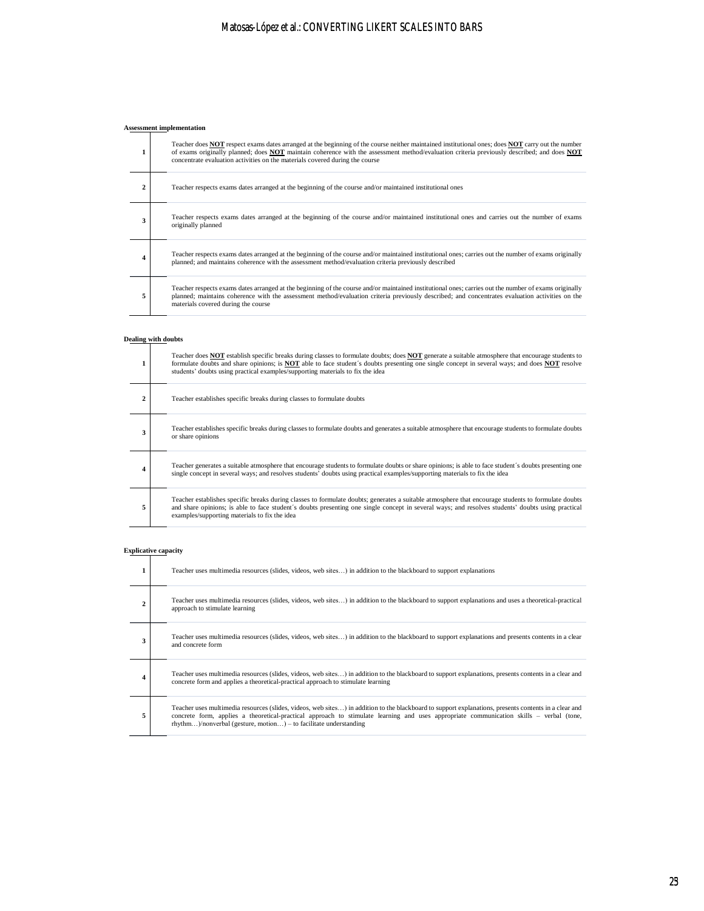## Matosas-López et al.: CONVERTING LIKERT SCALES INTO BARS

# **Assessment implementation**

| 1 | Teacher does <b>NOT</b> respect exams dates arranged at the beginning of the course neither maintained institutional ones; does <b>NOT</b> carry out the number<br>of exams originally planned; does NOT maintain coherence with the assessment method/evaluation criteria previously described; and does NOT<br>concentrate evaluation activities on the materials covered during the course |
|---|-----------------------------------------------------------------------------------------------------------------------------------------------------------------------------------------------------------------------------------------------------------------------------------------------------------------------------------------------------------------------------------------------|
| 2 | Teacher respects exams dates arranged at the beginning of the course and/or maintained institutional ones                                                                                                                                                                                                                                                                                     |
| 3 | Teacher respects exams dates arranged at the beginning of the course and/or maintained institutional ones and carries out the number of exams<br>originally planned                                                                                                                                                                                                                           |
| 4 | Teacher respects exams dates arranged at the beginning of the course and/or maintained institutional ones; carries out the number of exams originally<br>planned; and maintains coherence with the assessment method/evaluation criteria previously described                                                                                                                                 |
| 5 | Teacher respects exams dates arranged at the beginning of the course and/or maintained institutional ones; carries out the number of exams originally<br>planned; maintains coherence with the assessment method/evaluation criteria previously described; and concentrates evaluation activities on the<br>materials covered during the course                                               |

### **Dealing with doubts**

|   | Teacher does NOT establish specific breaks during classes to formulate doubts; does NOT generate a suitable atmosphere that encourage students to<br>formulate doubts and share opinions; is <b>NOT</b> able to face student's doubts presenting one single concept in several ways; and does <b>NOT</b> resolve<br>students' doubts using practical examples/supporting materials to fix the idea |
|---|----------------------------------------------------------------------------------------------------------------------------------------------------------------------------------------------------------------------------------------------------------------------------------------------------------------------------------------------------------------------------------------------------|
| 2 | Teacher establishes specific breaks during classes to formulate doubts                                                                                                                                                                                                                                                                                                                             |
| 3 | Teacher establishes specific breaks during classes to formulate doubts and generates a suitable atmosphere that encourage students to formulate doubts<br>or share opinions                                                                                                                                                                                                                        |
| 4 | Teacher generates a suitable atmosphere that encourage students to formulate doubts or share opinions; is able to face student's doubts presenting one<br>single concept in several ways; and resolves students' doubts using practical examples/supporting materials to fix the idea                                                                                                              |
| 5 | Teacher establishes specific breaks during classes to formulate doubts; generates a suitable atmosphere that encourage students to formulate doubts<br>and share opinions; is able to face student's doubts presenting one single concept in several ways; and resolves students' doubts using practical<br>examples/supporting materials to fix the idea                                          |

# **Explicative capacity**

| 1 | Teacher uses multimedia resources (slides, videos, web sites) in addition to the blackboard to support explanations                                                                                                                                                                                                                                                      |
|---|--------------------------------------------------------------------------------------------------------------------------------------------------------------------------------------------------------------------------------------------------------------------------------------------------------------------------------------------------------------------------|
| 2 | Teacher uses multimedia resources (slides, videos, web sites) in addition to the blackboard to support explanations and uses a theoretical-practical<br>approach to stimulate learning                                                                                                                                                                                   |
| 3 | Teacher uses multimedia resources (slides, videos, web sites) in addition to the blackboard to support explanations and presents contents in a clear<br>and concrete form                                                                                                                                                                                                |
| 4 | Teacher uses multimedia resources (slides, videos, web sites) in addition to the blackboard to support explanations, presents contents in a clear and<br>concrete form and applies a theoretical-practical approach to stimulate learning                                                                                                                                |
| 5 | Teacher uses multimedia resources (slides, videos, web sites) in addition to the blackboard to support explanations, presents contents in a clear and<br>concrete form, applies a theoretical-practical approach to stimulate learning and uses appropriate communication skills – verbal (tone,<br>$r$ hythm)/nonverbal (gesture, motion) – to facilitate understanding |